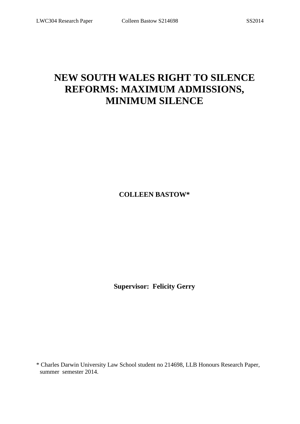# **NEW SOUTH WALES RIGHT TO SILENCE REFORMS: MAXIMUM ADMISSIONS, MINIMUM SILENCE**

**COLLEEN BASTOW\***

**Supervisor: Felicity Gerry**

\* Charles Darwin University Law School student no 214698, LLB Honours Research Paper, summer semester 2014.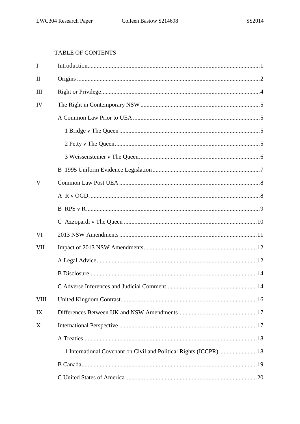# TABLE OF CONTENTS

| I            |     |
|--------------|-----|
| $\mathbf{I}$ |     |
| Ш            |     |
| IV           |     |
|              |     |
|              |     |
|              |     |
|              |     |
|              |     |
| V            |     |
|              |     |
|              |     |
|              |     |
| VI           |     |
| VII          |     |
|              |     |
|              |     |
|              | .14 |
| <b>VIII</b>  |     |
| IX           |     |
| X            |     |
|              |     |
|              |     |
|              |     |
|              |     |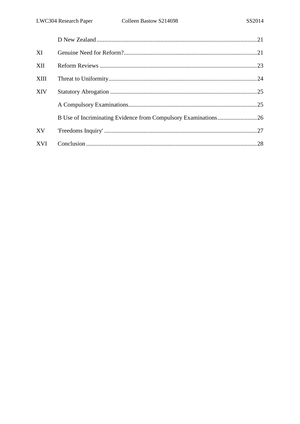| XI          |                                                                |  |
|-------------|----------------------------------------------------------------|--|
| XII         |                                                                |  |
| <b>XIII</b> |                                                                |  |
| <b>XIV</b>  |                                                                |  |
|             |                                                                |  |
|             | B Use of Incriminating Evidence from Compulsory Examinations26 |  |
| <b>XV</b>   |                                                                |  |
| <b>XVI</b>  |                                                                |  |
|             |                                                                |  |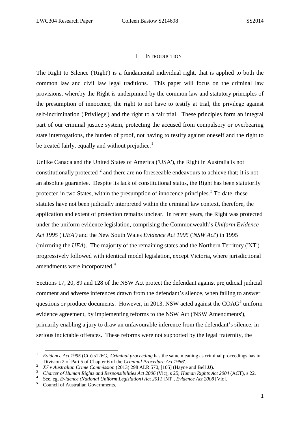#### I INTRODUCTION

The Right to Silence ('Right') is a fundamental individual right, that is applied to both the common law and civil law legal traditions. This paper will focus on the criminal law provisions, whereby the Right is underpinned by the common law and statutory principles of the presumption of innocence, the right to not have to testify at trial, the privilege against self-incrimination ('Privilege') and the right to a fair trial. These principles form an integral part of our criminal justice system, protecting the accused from compulsory or overbearing state interrogations, the burden of proof, not having to testify against oneself and the right to be treated fairly, equally and without prejudice.<sup>[1](#page-3-0)</sup>

Unlike Canada and the United States of America ('USA'), the Right in Australia is not constitutionally protected  $2$  and there are no foreseeable endeavours to achieve that; it is not an absolute guarantee. Despite its lack of constitutional status, the Right has been statutorily protected in two States, within the presumption of innocence principles.<sup>[3](#page-3-2)</sup> To date, these statutes have not been judicially interpreted within the criminal law context, therefore, the application and extent of protection remains unclear. In recent years, the Right was protected under the uniform evidence legislation, comprising the Commonwealth's *Uniform Evidence Act 1995* ('*UEA')* and the New South Wales *Evidence Act 1995* ('*NSW Act*') in 1995 (mirroring the *UEA*). The majority of the remaining states and the Northern Territory ('NT') progressively followed with identical model legislation, except Victoria, where jurisdictional amendments were incorporated.<sup>[4](#page-3-3)</sup>

Sections 17, 20, 89 and 128 of the NSW Act protect the defendant against prejudicial judicial comment and adverse inferences drawn from the defendant's silence, when failing to answer questions or produce documents. However, in 2013, NSW acted against the  $COAG<sup>5</sup>$  $COAG<sup>5</sup>$  $COAG<sup>5</sup>$  uniform evidence agreement, by implementing reforms to the NSW Act ('NSW Amendments'), primarily enabling a jury to draw an unfavourable inference from the defendant's silence, in serious indictable offences. These reforms were not supported by the legal fraternity, the

<span id="page-3-0"></span>**<sup>1</sup>** *Evidence Act 1995* (Cth) s126G, '*Criminal proceeding* has the same meaning as criminal proceedings has in Division 2 of Part 5 of Chapter 6 of the *Criminal Procedure Act 1986'*.

<span id="page-3-1"></span>Division 2 of Part 5 of Chapter 6 of the *Criminal Procedure Act 1986'.* **<sup>2</sup>**  *X7 v Australian Crime Commission* (2013) 298 ALR 570, [105] (Hayne and Bell JJ).

**<sup>3</sup>**  *Charter of Human Rights and Responsibilities Act 2006* (Vic), s 25; *Human Rights Act 2004* (ACT), s 22. **<sup>4</sup>**

<span id="page-3-3"></span><span id="page-3-2"></span>see, eg, *Evidence (National Uniform Legislation) Act 2011* [NT], *Evidence Act 2008* [Vic].<br>
S Council of Australian Governments.

<span id="page-3-4"></span>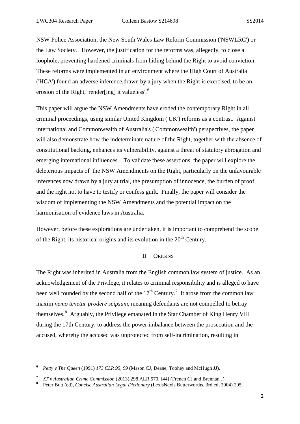NSW Police Association, the New South Wales Law Reform Commission ('NSWLRC') or the Law Society. However, the justification for the reforms was, allegedly, to close a loophole, preventing hardened criminals from hiding behind the Right to avoid conviction. These reforms were implemented in an environment where the High Court of Australia ('HCA') found an adverse inference,drawn by a jury when the Right is exercised, to be an erosion of the Right, 'render[ing] it valueless'.<sup>[6](#page-4-1)</sup>

This paper will argue the NSW Amendments have eroded the contemporary Right in all criminal proceedings, using similar United Kingdom ('UK') reforms as a contrast. Against international and Commonwealth of Australia's ('Commonwealth') perspectives, the paper will also demonstrate how the indeterminate nature of the Right, together with the absence of constitutional backing, enhances its vulnerability, against a threat of statutory abrogation and emerging international influences. To validate these assertions, the paper will explore the deleterious impacts of the NSW Amendments on the Right, particularly on the unfavourable inferences now drawn by a jury at trial, the presumption of innocence, the burden of proof and the right not to have to testify or confess guilt. Finally, the paper will consider the wisdom of implementing the NSW Amendments and the potential impact on the harmonisation of evidence laws in Australia.

However, before these explorations are undertaken, it is important to comprehend the scope of the Right, its historical origins and its evolution in the  $20<sup>th</sup>$  Century.

#### II ORIGINS

<span id="page-4-0"></span>The Right was inherited in Australia from the English common law system of justice. As an acknowledgement of the Privilege, it relates to criminal responsibility and is alleged to have been well founded by the second half of the  $17<sup>th</sup>$  $17<sup>th</sup>$  $17<sup>th</sup>$  Century.<sup>7</sup> It arose from the common law maxim *nemo tenetur prodere seipsum,* meaning defendants are not compelled to betray themselves.<sup>[8](#page-4-3)</sup> Arguably, the Privilege emanated in the Star Chamber of King Henry VIII during the 17th Century, to address the power imbalance between the prosecution and the accused, whereby the accused was unprotected from self-incrimination, resulting in

1

<span id="page-4-1"></span>**<sup>6</sup>**  *Petty v The Queen* (1991) *173 CLR 95, 99* (Mason CJ, Deane, Toohey and McHugh JJ).

**<sup>7</sup>**  *X7 v Australian Crime Commission* (2013) 298 ALR 570, [44] (French CJ and Brennan J).

<span id="page-4-3"></span><span id="page-4-2"></span>**<sup>8</sup>** Peter Butt (ed), *Concise Australian Legal Dictionary* (LexisNexis Butterworths, 3rd ed, 2004) 295.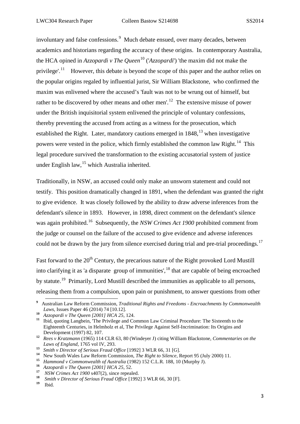involuntary and false confessions.<sup>[9](#page-5-0)</sup> Much debate ensued, over many decades, between academics and historians regarding the accuracy of these origins. In contemporary Australia, the HCA opined in *Azzopardi v The Queen*[10](#page-5-1) ('*Azzopardi*') 'the maxim did not make the privilege'.<sup>11</sup> However, this debate is beyond the scope of this paper and the author relies on the popular origins regaled by influential jurist, Sir William Blackstone, who confirmed the maxim was enlivened where the accused's 'fault was not to be wrung out of himself, but rather to be discovered by other means and other men'.<sup>[12](#page-5-3)</sup> The extensive misuse of power under the British inquisitorial system enlivened the principle of voluntary confessions, thereby preventing the accused from acting as a witness for the prosecution, which established the Right. Later, mandatory cautions emerged in  $1848$ ,  $^{13}$  $^{13}$  $^{13}$  when investigative powers were vested in the police, which firmly established the common law Right.<sup>14</sup> This legal procedure survived the transformation to the existing accusatorial system of justice under English law,<sup>[15](#page-5-6)</sup> which Australia inherited.

Traditionally, in NSW, an accused could only make an unsworn statement and could not testify. This position dramatically changed in 1891, when the defendant was granted the right to give evidence. It was closely followed by the ability to draw adverse inferences from the defendant's silence in 1893. However, in 1898, direct comment on the defendant's silence was again prohibited.<sup>16</sup> Subsequently, the *NSW Crimes Act* 1900 prohibited comment from the judge or counsel on the failure of the accused to give evidence and adverse inferences could not be drawn by the jury from silence exercised during trial and pre-trial proceedings.<sup>17</sup>

Fast forward to the 20<sup>th</sup> Century, the precarious nature of the Right provoked Lord Mustill into clarifying it as 'a disparate group of immunities',<sup>[18](#page-5-9)</sup> that are capable of being encroached by statute.[19](#page-5-10) Primarily, Lord Mustill described the immunities as applicable to all persons, releasing them from a compulsion, upon pain or punishment, to answer questions from other

<span id="page-5-0"></span>**<sup>9</sup>** Australian Law Reform Commission, *Traditional Rights and Freedoms - Encroachments by Commonwealth Laws, Issues Paper 46 (2014) 74 [10.12].*<br>*Azzopardi v The Queen [2001] HCA 25, 124.* 

<span id="page-5-2"></span><span id="page-5-1"></span>**<sup>10</sup>** *Azzopardi v The Queen [2001] HCA 25*, 124. **<sup>11</sup>**Ibid, quoting Langbein, 'The Privilege and Common Law Criminal Procedure: The Sixteenth to the Eighteenth Centuries, in Helmholz et al, The Privilege Against Self-Incrimination: Its Origins and Development (1997) 82, 107. **<sup>12</sup>** *Rees v Kratzmann* (1965) 114 CLR 63, 80 (Windeyer J) citing William Blackstone, *Commentaries on the* 

<span id="page-5-3"></span>*Laws of England, 1765 vol IV, 293.*<br>*Smith v Director of Serious Fraud Office* [1992] 3 WLR 66, 31 [G].

<span id="page-5-4"></span>**<sup>13</sup>** *Smith v Director of Serious Fraud Office* [1992] 3 WLR 66, 31 [G]. **<sup>14</sup>** New South Wales Law Reform Commission, *The Right to Silence,* Report 95 (July 2000) 11.

<span id="page-5-6"></span><span id="page-5-5"></span>**<sup>15</sup>** *Hammond v Commonwealth of Australia* (1982) 152 C.L.R. 188, 10 (Murphy J).

<span id="page-5-7"></span>**<sup>16</sup>** *Azzopardi v The Queen [2001] HCA 25*, 52. **<sup>17</sup>** *NSW Crimes Act 1900* s407(2), since repealed.

<span id="page-5-10"></span><span id="page-5-9"></span><span id="page-5-8"></span><sup>&</sup>lt;sup>18</sup> *Smith v Director of Serious Fraud Office* [1992] 3 WLR 66, 30 [F].

**<sup>19</sup>**Ibid.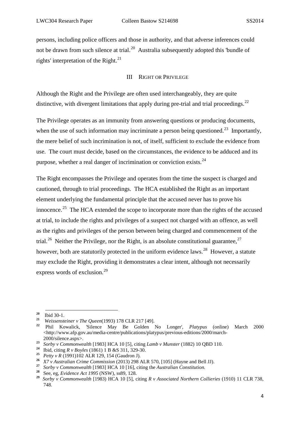persons, including police officers and those in authority, and that adverse inferences could not be drawn from such silence at trial.<sup>20</sup> Australia subsequently adopted this 'bundle of rights' interpretation of the Right.<sup>[21](#page-6-2)</sup>

## III RIGHT OR PRIVILEGE

<span id="page-6-0"></span>Although the Right and the Privilege are often used interchangeably, they are quite distinctive, with divergent limitations that apply during pre-trial and trial proceedings.<sup>[22](#page-6-3)</sup>

The Privilege operates as an immunity from answering questions or producing documents, when the use of such information may incriminate a person being questioned.<sup>[23](#page-6-4)</sup> Importantly, the mere belief of such incrimination is not, of itself, sufficient to exclude the evidence from use. The court must decide, based on the circumstances, the evidence to be adduced and its purpose, whether a real danger of incrimination or conviction exists.<sup>24</sup>

The Right encompasses the Privilege and operates from the time the suspect is charged and cautioned, through to trial proceedings. The HCA established the Right as an important element underlying the fundamental principle that the accused never has to prove his innocence.<sup>[25](#page-6-6)</sup> The HCA extended the scope to incorporate more than the rights of the accused at trial, to include the rights and privileges of a suspect not charged with an offence, as well as the rights and privileges of the person between being charged and commencement of the trial.<sup>26</sup> Neither the Privilege, nor the Right, is an absolute constitutional guarantee,<sup>[27](#page-6-8)</sup> however, both are statutorily protected in the uniform evidence laws.<sup>28</sup> However, a statute may exclude the Right, providing it demonstrates a clear intent, although not necessarily express words of exclusion.<sup>[29](#page-6-10)</sup>

1

<span id="page-6-3"></span><span id="page-6-2"></span>

<span id="page-6-1"></span>**<sup>20</sup>**Ibid 30-1. **<sup>21</sup>** *Weissensteiner v The Queen*(1993) 178 CLR 217 [49]. **<sup>22</sup>** Phil Kowalick, 'Silence May Be Golden No Longer', *Platypus* (online) March 2000 <http://www.afp.gov.au/media-centre/publications/platypus/previous-editions/2000/march-2000/silence.aspx>.

<span id="page-6-4"></span>**<sup>23</sup>** *Sorby v Commonwealth* [1983] HCA 10 [5], citing *Lamb v Munster* (1882) 10 QBD 110. **<sup>24</sup>**Ibid, citing *R v Boyles* (1861) 1 B &S 311, 329-30.

<span id="page-6-6"></span><span id="page-6-5"></span>**<sup>25</sup>** *Petty v R* (1991)102 ALR 129, 154 (Gaudron J).

<span id="page-6-7"></span>**<sup>26</sup>** *X7 v Australian Crime Commission* (2013) 298 ALR 570, [105] (Hayne and Bell JJ). **<sup>27</sup>** *Sorby v Commonwealth* [1983] HCA 10 [16], citing the *Australian Constitution.*

<span id="page-6-8"></span>

<span id="page-6-10"></span><span id="page-6-9"></span>**<sup>28</sup>** See, eg, *Evidence Act 1995* (NSW), ss89, 128.

**<sup>29</sup>** *Sorby v Commonwealth* [1983) HCA 10 [5], citing *R v Associated Northern Collieries* (1910) 11 CLR 738, 748.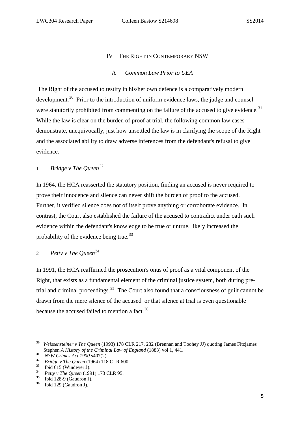## IV THE RIGHT IN CONTEMPORARY NSW

## A *Common Law Prior to UEA*

<span id="page-7-1"></span><span id="page-7-0"></span>The Right of the accused to testify in his/her own defence is a comparatively modern development.<sup>30</sup> Prior to the introduction of uniform evidence laws, the judge and counsel were statutorily prohibited from commenting on the failure of the accused to give evidence.<sup>31</sup> While the law is clear on the burden of proof at trial, the following common law cases demonstrate, unequivocally, just how unsettled the law is in clarifying the scope of the Right and the associated ability to draw adverse inferences from the defendant's refusal to give evidence.

## <span id="page-7-2"></span><sup>1</sup> *Bridge v The Queen*[32](#page-7-6)

In 1964, the HCA reasserted the statutory position, finding an accused is never required to prove their innocence and silence can never shift the burden of proof to the accused. Further, it verified silence does not of itself prove anything or corroborate evidence. In contrast, the Court also established the failure of the accused to contradict under oath such evidence within the defendant's knowledge to be true or untrue, likely increased the probability of the evidence being true.<sup>[33](#page-7-7)</sup>

# <span id="page-7-3"></span><sup>2</sup> *Petty v The Queen*[34](#page-7-8)

In 1991*,* the HCA reaffirmed the prosecution's onus of proof as a vital component of the Right, that exists as a fundamental element of the criminal justice system, both during pre-trial and criminal proceedings.<sup>[35](#page-7-9)</sup> The Court also found that a consciousness of guilt cannot be drawn from the mere silence of the accused or that silence at trial is even questionable because the accused failed to mention a fact.<sup>[36](#page-7-10)</sup>

<span id="page-7-4"></span>**<sup>30</sup>** *Weissensteiner v The Queen* (1993) 178 CLR 217, 232 (Brennan and Toohey JJ) quoting James Fitzjames Stephen *A History of the Criminal Law of England* (1883) vol 1, 441. **.** 

**<sup>31</sup>** *NSW Crimes Act 1900* s407(2).

<span id="page-7-6"></span><span id="page-7-5"></span>**<sup>32</sup>** *Bridge v The Queen* (1964) 118 CLR 600.

<span id="page-7-7"></span> $\frac{33}{34}$  Ibid 615 (Windeyer J).

<span id="page-7-8"></span>**<sup>34</sup>** *Petty v The Queen* (1991) 173 CLR 95.

<span id="page-7-10"></span><span id="page-7-9"></span> $\frac{35}{36}$  Ibid 128-9 (Gaudron J).<br> $\frac{36}{36}$  Ibid 129 (Gaudron I)

**<sup>36</sup>**Ibid 129 (Gaudron J).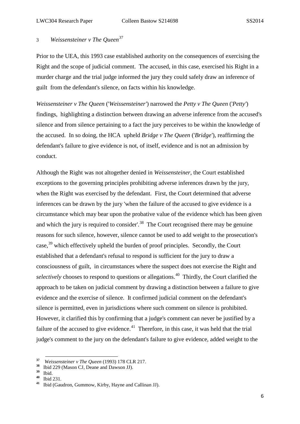# <span id="page-8-0"></span><sup>3</sup> *Weissensteiner v The Queen*[37](#page-8-1)

Prior to the UEA, this 1993 case established authority on the consequences of exercising the Right and the scope of judicial comment. The accused, in this case, exercised his Right in a murder charge and the trial judge informed the jury they could safely draw an inference of guilt from the defendant's silence, on facts within his knowledge.

*Weissensteiner v The Queen* ('*Weissensteiner'*) narrowed the *Petty v The Queen* ('*Petty'*) findings, highlighting a distinction between drawing an adverse inference from the accused's silence and from silence pertaining to a fact the jury perceives to be within the knowledge of the accused. In so doing, the HCA upheld *Bridge v The Queen* ('*Bridge'*), reaffirming the defendant's failure to give evidence is not, of itself, evidence and is not an admission by conduct.

Although the Right was not altogether denied in *Weissensteiner*, the Court established exceptions to the governing principles prohibiting adverse inferences drawn by the jury, when the Right was exercised by the defendant. First, the Court determined that adverse inferences can be drawn by the jury 'when the failure of the accused to give evidence is a circumstance which may bear upon the probative value of the evidence which has been given and which the jury is required to consider'.<sup>[38](#page-8-2)</sup> The Court recognised there may be genuine reasons for such silence, however, silence cannot be used to add weight to the prosecution's  $case, <sup>39</sup>$  $case, <sup>39</sup>$  $case, <sup>39</sup>$  which effectively upheld the burden of proof principles. Secondly, the Court established that a defendant's refusal to respond is sufficient for the jury to draw a consciousness of guilt, in circumstances where the suspect does not exercise the Right and *selectively* chooses to respond to questions or allegations.<sup>40</sup> Thirdly, the Court clarified the approach to be taken on judicial comment by drawing a distinction between a failure to give evidence and the exercise of silence. It confirmed judicial comment on the defendant's silence is permitted, even in jurisdictions where such comment on silence is prohibited. However, it clarified this by confirming that a judge's comment can never be justified by a failure of the accused to give evidence. $41$  Therefore, in this case, it was held that the trial judge's comment to the jury on the defendant's failure to give evidence, added weight to the

<span id="page-8-1"></span>**<sup>37</sup>** *Weissensteiner v The Queen* (1993) 178 CLR 217.

<span id="page-8-2"></span><sup>&</sup>lt;sup>38</sup> Ibid 229 (Mason CJ, Deane and Dawson JJ).

<span id="page-8-3"></span> $\frac{39}{40}$  **Ibid.** 

<span id="page-8-5"></span><span id="page-8-4"></span>**<sup>40</sup>**Ibid 231. **<sup>41</sup>**Ibid (Gaudron, Gummow, Kirby, Hayne and Callinan JJ).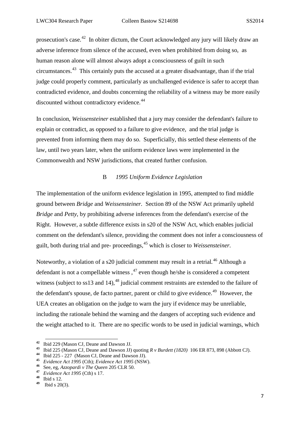prosecution's case.[42](#page-9-1) In obiter dictum, the Court acknowledged any jury will likely draw an adverse inference from silence of the accused, even when prohibited from doing so, as human reason alone will almost always adopt a consciousness of guilt in such circumstances.<sup>43</sup> This certainly puts the accused at a greater disadvantage, than if the trial judge could properly comment, particularly as unchallenged evidence is safer to accept than contradicted evidence, and doubts concerning the reliability of a witness may be more easily discounted without contradictory evidence.<sup>44</sup>

In conclusion, *Weissensteiner* established that a jury may consider the defendant's failure to explain or contradict, as opposed to a failure to give evidence, and the trial judge is prevented from informing them may do so. Superficially, this settled these elements of the law, until two years later, when the uniform evidence laws were implemented in the Commonwealth and NSW jurisdictions, that created further confusion.

## B *1995 Uniform Evidence Legislation*

<span id="page-9-0"></span>The implementation of the uniform evidence legislation in 1995, attempted to find middle ground between *Bridge* and *Weissensteiner.* Section 89 of the NSW Act primarily upheld *Bridge* and *Petty*, by prohibiting adverse inferences from the defendant's exercise of the Right. However, a subtle difference exists in s20 of the NSW Act, which enables judicial comment on the defendant's silence, providing the comment does not infer a consciousness of guilt, both during trial and pre- proceedings, [45](#page-9-4) which is closer to *Weissensteiner.*

Noteworthy, a violation of a s20 judicial comment may result in a retrial*.* [46](#page-9-5) Although a defendant is not a compellable witness,  $47$  even though he/she is considered a competent witness (subject to ss13 and 14),  $48$  judicial comment restraints are extended to the failure of the defendant's spouse, de facto partner, parent or child to give evidence.<sup>[49](#page-9-8)</sup> However, the UEA creates an obligation on the judge to warn the jury if evidence may be unreliable, including the rationale behind the warning and the dangers of accepting such evidence and the weight attached to it. There are no specific words to be used in judicial warnings, which

**<sup>42</sup>**Ibid 229 (Mason CJ, Deane and Dawson JJ.

<span id="page-9-2"></span><span id="page-9-1"></span>**<sup>43</sup>**Ibid 225 (Mason CJ, Deane and Dawson JJ) quoting *R v Burdett (1820)* 106 ER 873, 898 (Abbott CJ). **<sup>44</sup>**Ibid 225 - 227 (Mason CJ, Deane and Dawson JJ).

<span id="page-9-4"></span><span id="page-9-3"></span>**<sup>45</sup>** *Evidence Act 1995* (Cth); *Evidence Act 1995* (NSW).

<span id="page-9-5"></span>**<sup>46</sup>** See, eg, *Azzopardi v The Queen* 205 CLR 50. **<sup>47</sup>** *Evidence Act 1995* (Cth) s 17.

<span id="page-9-8"></span><span id="page-9-7"></span><span id="page-9-6"></span> $\frac{48}{49}$  Ibid s 12.

**<sup>49</sup>**Ibid s 20(3).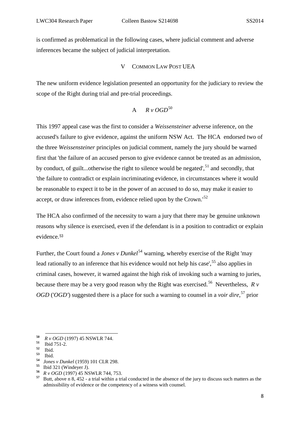is confirmed as problematical in the following cases, where judicial comment and adverse inferences became the subject of judicial interpretation.

## V COMMON LAW POST UEA

<span id="page-10-0"></span>The new uniform evidence legislation presented an opportunity for the judiciary to review the scope of the Right during trial and pre-trial proceedings.

$$
A \qquad R \vee OGD^{50}
$$

<span id="page-10-1"></span>This 1997 appeal case was the first to consider a *Weissensteiner* adverse inference, on the accused's failure to give evidence, against the uniform NSW Act. The HCA endorsed two of the three *Weissensteiner* principles on judicial comment, namely the jury should be warned first that 'the failure of an accused person to give evidence cannot be treated as an admission, by conduct, of guilt...otherwise the right to silence would be negated',  $51$  and secondly, that 'the failure to contradict or explain incriminating evidence, in circumstances where it would be reasonable to expect it to be in the power of an accused to do so, may make it easier to accept, or draw inferences from, evidence relied upon by the Crown.<sup>[52](#page-10-4)</sup>

The HCA also confirmed of the necessity to warn a jury that there may be genuine unknown reasons why silence is exercised, even if the defendant is in a position to contradict or explain evidence.[53](#page-10-5)

Further, the Court found a *Jones v Dunkel*<sup>[54](#page-10-6)</sup> warning, whereby exercise of the Right 'may lead rationally to an inference that his evidence would not help his case',<sup>[55](#page-10-7)</sup> also applies in criminal cases, however, it warned against the high risk of invoking such a warning to juries, because there may be a very good reason why the Right was exercised.<sup>56</sup> Nevertheless,  $\dot{R}$   $\dot{v}$ *OGD* ('*OGD'*) suggested there is a place for such a warning to counsel in a *voir dire*, [57](#page-10-9) prior

<span id="page-10-2"></span>**<sup>50</sup>** *R v OGD* (1997) 45 NSWLR 744.

<span id="page-10-3"></span> $\frac{51}{52}$  Ibid 751-2.

<span id="page-10-5"></span><span id="page-10-4"></span>**<sup>52</sup>** Ibid. **<sup>53</sup>**Ibid. **<sup>54</sup>** *Jones v Dunkel* (1959) 101 CLR 298. **<sup>55</sup>**Ibid 321 (Windeyer J).

<span id="page-10-7"></span><span id="page-10-6"></span>

<span id="page-10-9"></span><span id="page-10-8"></span>**<sup>56</sup>** *R v OGD* (1997) 45 NSWLR 744, 753. **<sup>57</sup>** Butt, above n 8, 452 - a trial within a trial conducted in the absence of the jury to discuss such matters as the admissibility of evidence or the competency of a witness with counsel.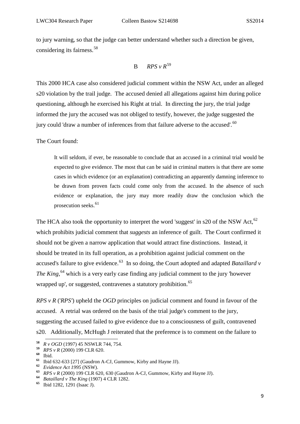to jury warning, so that the judge can better understand whether such a direction be given, considering its fairness.[58](#page-11-1)

$$
B \qquad RPS \vee R^{59}
$$

<span id="page-11-0"></span>This 2000 HCA case also considered judicial comment within the NSW Act, under an alleged s20 violation by the trail judge. The accused denied all allegations against him during police questioning, although he exercised his Right at trial. In directing the jury, the trial judge informed the jury the accused was not obliged to testify, however, the judge suggested the jury could 'draw a number of inferences from that failure adverse to the accused'.<sup>[60](#page-11-3)</sup>

The Court found:

It will seldom, if ever, be reasonable to conclude that an accused in a criminal trial would be expected to give evidence. The most that can be said in criminal matters is that there are some cases in which evidence (or an explanation) contradicting an apparently damning inference to be drawn from proven facts could come only from the accused. In the absence of such evidence or explanation, the jury may more readily draw the conclusion which the prosecution seeks. $61$ 

The HCA also took the opportunity to interpret the word 'suggest' in s20 of the NSW Act,  $62$ which prohibits judicial comment that *suggests* an inference of guilt. The Court confirmed it should not be given a narrow application that would attract fine distinctions. Instead, it should be treated in its full operation, as a prohibition against judicial comment on the accused's failure to give evidence. [63](#page-11-6) In so doing, the Court adopted and adapted *Bataillard v The King,* [64](#page-11-7) which is a very early case finding any judicial comment to the jury 'however wrapped up', or suggested, contravenes a statutory prohibition.<sup>[65](#page-11-8)</sup>

*RPS v R* ('*RPS'*) upheld the *OGD* principles on judicial comment and found in favour of the accused. A retrial was ordered on the basis of the trial judge's comment to the jury, suggesting the accused failed to give evidence due to a consciousness of guilt, contravened s20. Additionally, McHugh J reiterated that the preference is to comment on the failure to

**.** 

<span id="page-11-5"></span>**<sup>62</sup>** *Evidence Act 1995* (NSW).

**<sup>58</sup>** *R v OGD* (1997) 45 NSWLR 744, 754.

<span id="page-11-2"></span><span id="page-11-1"></span>**<sup>59</sup>** *RPS v R* (2000) 199 CLR 620.

<span id="page-11-4"></span><span id="page-11-3"></span>**<sup>60</sup>**Ibid. **<sup>61</sup>**Ibid 632-633 [27] (Gaudron A-CJ, Gummow, Kirby and Hayne JJ).

<span id="page-11-6"></span>**<sup>63</sup>** *RPS v R* (2000) 199 CLR 620, 630 (Gaudron A-CJ, Gummow, Kirby and Hayne JJ).

<span id="page-11-7"></span>**<sup>64</sup>** *Bataillard v The King* (1907) 4 CLR 1282.

<span id="page-11-8"></span>**<sup>65</sup>**Ibid 1282, 1291 (Isaac J).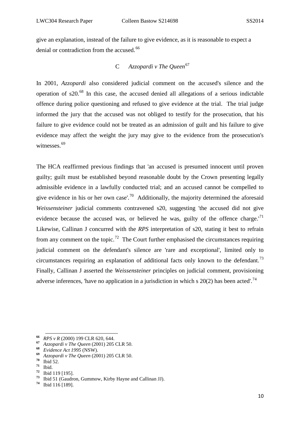give an explanation, instead of the failure to give evidence, as it is reasonable to expect a denial or contradiction from the accused.<sup>[66](#page-12-1)</sup>

# C *Azzopardi v The Queen*[67](#page-12-2)

<span id="page-12-0"></span>In 2001, *Azzopardi* also considered judicial comment on the accused's silence and the operation of  $s20$ <sup>[68](#page-12-3)</sup>. In this case, the accused denied all allegations of a serious indictable offence during police questioning and refused to give evidence at the trial. The trial judge informed the jury that the accused was not obliged to testify for the prosecution, that his failure to give evidence could not be treated as an admission of guilt and his failure to give evidence may affect the weight the jury may give to the evidence from the prosecution's witnesses.<sup>[69](#page-12-4)</sup>

The HCA reaffirmed previous findings that 'an accused is presumed innocent until proven guilty; guilt must be established beyond reasonable doubt by the Crown presenting legally admissible evidence in a lawfully conducted trial; and an accused cannot be compelled to give evidence in his or her own case'.<sup>[70](#page-12-5)</sup> Additionally, the majority determined the aforesaid *Weissensteiner* judicial comments contravened s20, suggesting 'the accused did not give evidence because the accused was, or believed he was, guilty of the offence charge.<sup>'[71](#page-12-6)</sup> Likewise, Callinan J concurred with the *RPS* interpretation of s20, stating it best to refrain from any comment on the topic.<sup>[72](#page-12-7)</sup> The Court further emphasised the circumstances requiring judicial comment on the defendant's silence are 'rare and exceptional', limited only to circumstances requiring an explanation of additional facts only known to the defendant.<sup>[73](#page-12-8)</sup> Finally, Callinan J asserted the *Weissensteiner* principles on judicial comment, provisioning adverse inferences, 'have no application in a jurisdiction in which s  $20(2)$  has been acted'.<sup>[74](#page-12-9)</sup>

**<sup>66</sup>** *RPS v R* (2000) 199 CLR 620, 644.

<span id="page-12-2"></span><span id="page-12-1"></span>**<sup>67</sup>** *Azzopardi v The Queen* (2001) 205 CLR 50.

<span id="page-12-3"></span>**<sup>68</sup>** *Evidence Act 1995* (NSW).

<span id="page-12-4"></span>**<sup>69</sup>** *Azzopardi v The Queen* (2001) 205 CLR 50.

<span id="page-12-6"></span>

<span id="page-12-5"></span>**<sup>70</sup>**Ibid 52. **<sup>71</sup>**Ibid. **<sup>72</sup>**Ibid 119 [195].

<span id="page-12-9"></span><span id="page-12-8"></span><span id="page-12-7"></span>**<sup>73</sup>**Ibid 51 (Gaudron, Gummow, Kirby Hayne and Callinan JJ). **<sup>74</sup>**Ibid 116 [189].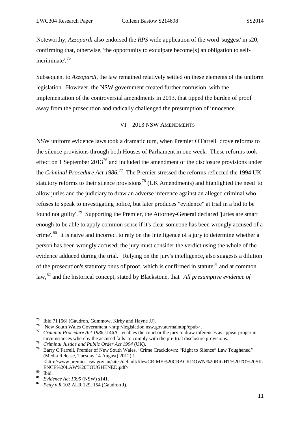Noteworthy, *Azzopardi* also endorsed the *RPS* wide application of the word 'suggest' in s20, confirming that, otherwise, 'the opportunity to exculpate become[s] an obligation to selfincriminate'.[75](#page-13-1)

Subsequent to *Azzopardi,* the law remained relatively settled on these elements of the uniform legislation. However, the NSW government created further confusion, with the implementation of the controversial amendments in 2013, that tipped the burden of proof away from the prosecution and radically challenged the presumption of innocence.

## VI 2013 NSW AMENDMENTS

<span id="page-13-0"></span>NSW uniform evidence laws took a dramatic turn, when Premier O'Farrell drove reforms to the silence provisions through both Houses of Parliament in one week. These reforms took effect on 1 September  $2013^{76}$  $2013^{76}$  $2013^{76}$  and included the amendment of the disclosure provisions under the *Criminal Procedure Act 1986.*[77](#page-13-3) The Premier stressed the reforms reflected the 1994 UK statutory reforms to their silence provisions<sup>[78](#page-13-4)</sup> (UK Amendments) and highlighted the need 'to allow juries and the judiciary to draw an adverse inference against an alleged criminal who refuses to speak to investigating police, but later produces "evidence" at trial in a bid to be found not guilty'.[79](#page-13-5) Supporting the Premier, the Attorney-General declared 'juries are smart enough to be able to apply common sense if it's clear someone has been wrongly accused of a crime'.<sup>[80](#page-13-6)</sup> It is naive and incorrect to rely on the intelligence of a jury to determine whether a person has been wrongly accused; the jury must consider the verdict using the whole of the evidence adduced during the trial. Relying on the jury's intelligence, also suggests a dilution of the prosecution's statutory onus of proof, which is confirmed in statute  $81$  and at common law, [82](#page-13-8) and the historical concept, stated by Blackstone, that '*All presumptive evidence of* 

<span id="page-13-1"></span><sup>&</sup>lt;sup>75</sup> Ibid 71 [56] (Gaudron, Gummow, Kirby and Hayne JJ).<br><sup>76</sup> New South Wales Government <http://legislation.nsw.gov.au/maintop/epub>.

<span id="page-13-3"></span><span id="page-13-2"></span><sup>&</sup>lt;sup>77</sup> Criminal Procedure Act 1986,s146A - enables the court or the jury to draw inferences as appear proper in circumstances whereby the accused fails to comply with the pre-trial disclosure provisions.

<span id="page-13-4"></span>**<sup>78</sup>** *Criminal Justice and Public Order Act 1994* (UK).

<span id="page-13-5"></span>**<sup>79</sup>** Barry O'Farrell, Premier of New South Wales, 'Crime Crackdown: "Right to Silence" Law Toughened'' (Media Release, Tuesday 14 August) 2012) 1

 $\leq$ http://www.premier.nsw.gov.au/sites/default/files/CRIME%20CRACKDOWN%20RIGHT%20TO%20SIL ENCE%20LAW%20TOUGHENED.pdf>.

<span id="page-13-6"></span> $\begin{array}{c}\n 80 \\
 81 \\
 \hline\n \end{array}$  Ibid.

<span id="page-13-8"></span><span id="page-13-7"></span>**<sup>81</sup>** *Evidence Act 1995* (NSW) s141.

**<sup>82</sup>** *Petty v R* 102 ALR 129, 154 (Gaudron J).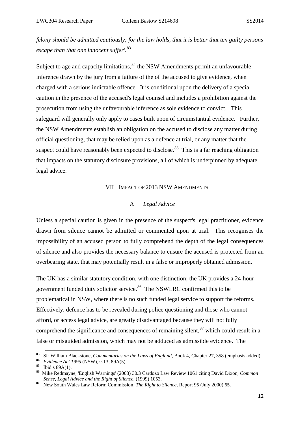*felony should be admitted cautiously; for the law holds, that it is better that ten guilty persons escape than that one innocent suffer'.*[83](#page-14-2)

Subject to age and capacity limitations, $84$  the NSW Amendments permit an unfavourable inference drawn by the jury from a failure of the of the accused to give evidence, when charged with a serious indictable offence. It is conditional upon the delivery of a special caution in the presence of the accused's legal counsel and includes a prohibition against the prosecution from using the unfavourable inference as sole evidence to convict. This safeguard will generally only apply to cases built upon of circumstantial evidence. Further, the NSW Amendments establish an obligation on the accused to disclose any matter during official questioning, that may be relied upon as a defence at trial, or any matter that the suspect could have reasonably been expected to disclose.<sup>85</sup> This is a far reaching obligation that impacts on the statutory disclosure provisions, all of which is underpinned by adequate legal advice.

#### VII IMPACT OF 2013 NSW AMENDMENTS

#### A *Legal Advice*

<span id="page-14-1"></span><span id="page-14-0"></span>Unless a special caution is given in the presence of the suspect's legal practitioner, evidence drawn from silence cannot be admitted or commented upon at trial. This recognises the impossibility of an accused person to fully comprehend the depth of the legal consequences of silence and also provides the necessary balance to ensure the accused is protected from an overbearing state, that may potentially result in a false or improperly obtained admission.

The UK has a similar statutory condition, with one distinction; the UK provides a 24-hour government funded duty solicitor service.<sup>86</sup> The NSWLRC confirmed this to be problematical in NSW, where there is no such funded legal service to support the reforms. Effectively, defence has to be revealed during police questioning and those who cannot afford, or access legal advice, are greatly disadvantaged because they will not fully comprehend the significance and consequences of remaining silent,  $87$  which could result in a false or misguided admission, which may not be adduced as admissible evidence. The

<span id="page-14-2"></span>**<sup>83</sup>** Sir William Blackstone, *Commentaries on the Laws of England*, Book 4, Chapter 27, 358 (emphasis added).

<span id="page-14-3"></span>**<sup>84</sup>** *Evidence Act 1995* (NSW), ss13, 89A(5).

<span id="page-14-4"></span>**<sup>85</sup>**Ibid s 89A(1).

<span id="page-14-5"></span>**<sup>86</sup>** Mike Redmayne, 'English Warnings' (2008) 30.3 Cardozo Law Review 1061 citing David Dixon, *Common Sense, Legal Advice and the Right of Silence,* (1999) 1053.

<span id="page-14-6"></span>**<sup>87</sup>** New South Wales Law Reform Commission, *The Right to Silence,* Report 95 (July 2000) 65.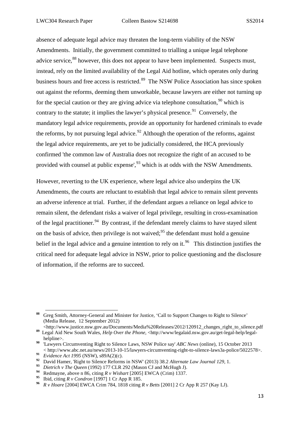absence of adequate legal advice may threaten the long-term viability of the NSW Amendments. Initially, the government committed to trialling a unique legal telephone advice service,  $88$  however, this does not appear to have been implemented. Suspects must, instead, rely on the limited availability of the Legal Aid hotline, which operates only during business hours and free access is restricted.<sup>[89](#page-15-1)</sup> The NSW Police Association has since spoken out against the reforms, deeming them unworkable, because lawyers are either not turning up for the special caution or they are giving advice via telephone consultation.<sup>[90](#page-15-2)</sup> which is contrary to the statute; it implies the lawyer's physical presence.  $91$  Conversely, the mandatory legal advice requirements, provide an opportunity for hardened criminals to evade the reforms, by not pursuing legal advice.<sup>[92](#page-15-4)</sup> Although the operation of the reforms, against the legal advice requirements, are yet to be judicially considered, the HCA previously confirmed 'the common law of Australia does not recognize the right of an accused to be provided with counsel at public expense',  $93$  which is at odds with the NSW Amendments.

However, reverting to the UK experience, where legal advice also underpins the UK Amendments, the courts are reluctant to establish that legal advice to remain silent prevents an adverse inference at trial. Further, if the defendant argues a reliance on legal advice to remain silent, the defendant risks a waiver of legal privilege, resulting in cross-examination of the legal practitioner.<sup>[94](#page-15-6)</sup> By contrast, if the defendant merely claims to have stayed silent on the basis of advice, then privilege is not waived;<sup>[95](#page-15-7)</sup> the defendant must hold a genuine belief in the legal advice and a genuine intention to rely on it.<sup>96</sup> This distinction justifies the critical need for adequate legal advice in NSW, prior to police questioning and the disclosure of information, if the reforms are to succeed.

<span id="page-15-0"></span>**<sup>88</sup>** Greg Smith, Attorney-General and Minister for Justice, 'Call to Support Changes to Right to Silence' (Media Release, 12 September 2012) 1

<span id="page-15-1"></span><sup>&</sup>lt;http://www.justice.nsw.gov.au/Documents/Media%20Releases/2012/120912\_changes\_right\_to\_silence.pdf 89 Legal Aid New South Wales, *Help Over the Phone*, <http://www/legalaid.nsw.gov.au/get-legal-help/legalhelpline>.

<span id="page-15-2"></span>**<sup>90</sup>** 'Lawyers Circumventing Right to Silence Laws, NSW Police say' *ABC News* (online), 15 October 2013 < http://www.abc.net.au/news/2013-10-15/lawyers-circumventing-right-to-silence-laws3a-police/5022578>.

<span id="page-15-3"></span>**<sup>91</sup>** *Evidence Act 1995* (NSW), s89A(2)(c).

<span id="page-15-4"></span>**<sup>92</sup>** David Hamer, 'Right to Silence Reforms in NSW' (2013) 38.2 *Alternate Law Journal 129,* 1.

<span id="page-15-5"></span>**<sup>93</sup>** *Dietrich v The Queen* (1992) 177 CLR 292 (Mason CJ and McHugh J).

<span id="page-15-6"></span>**<sup>94</sup>** Redmayne, above n 86, citing *R v Wishart* [2005] EWCA (Crim) 1337.

**<sup>95</sup>** Ibid, citing *R v Condron* [1997] 1 Cr App R 185.

<span id="page-15-8"></span><span id="page-15-7"></span>**<sup>96</sup>** *R v Hoare* [2004] EWCA Crim 784, 1818 citing *R v Betts* [2001] 2 Cr App R 257 (Kay LJ).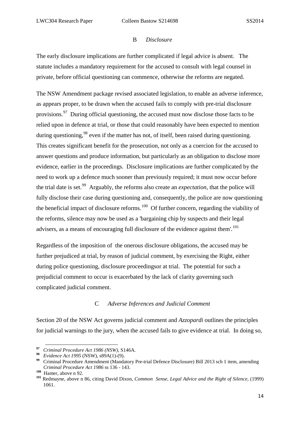## B *Disclosure*

<span id="page-16-0"></span>The early disclosure implications are further complicated if legal advice is absent. The statute includes a mandatory requirement for the accused to consult with legal counsel in private, before official questioning can commence, otherwise the reforms are negated.

The NSW Amendment package revised associated legislation, to enable an adverse inference, as appears proper, to be drawn when the accused fails to comply with pre-trial disclosure provisions.<sup>97</sup> During official questioning, the accused must now disclose those facts to be relied upon in defence at trial, or those that could reasonably have been expected to mention during questioning,  $98$  even if the matter has not, of itself, been raised during questioning. This creates significant benefit for the prosecution, not only as a coercion for the accused to answer questions and produce information, but particularly as an obligation to disclose more evidence, earlier in the proceedings. Disclosure implications are further complicated by the need to work up a defence much sooner than previously required; it must now occur before the trial date is set.[99](#page-16-4) Arguably, the reforms also create an *expectation,* that the police will fully disclose their case during questioning and, consequently, the police are now questioning the beneficial impact of disclosure reforms.<sup>[100](#page-16-5)</sup> Of further concern, regarding the viability of the reforms, silence may now be used as a 'bargaining chip by suspects and their legal advisers, as a means of encouraging full disclosure of the evidence against them'.<sup>[101](#page-16-6)</sup>

Regardless of the imposition of the onerous disclosure obligations, the accused may be further prejudiced at trial, by reason of judicial comment, by exercising the Right, either during police questioning, disclosure proceedingsor at trial. The potential for such a prejudicial comment to occur is exacerbated by the lack of clarity governing such complicated judicial comment.

## C *Adverse Inferences and Judicial Comment*

<span id="page-16-1"></span>Section 20 of the NSW Act governs judicial comment and *Azzopardi* outlines the principles for judicial warnings to the jury, when the accused fails to give evidence at trial. In doing so,

1

<span id="page-16-2"></span>**<sup>97</sup>** *Criminal Procedure Act 1986 (NSW),* S146A.

<span id="page-16-3"></span>**<sup>98</sup>** *Evidence Act 1995* (NSW), s89A(1)-(9).

<span id="page-16-4"></span><sup>&</sup>lt;sup>99</sup> Criminal Procedure Amendment (Mandatory Pre-trial Defence Disclosure) Bill 2013 sch 1 item, amending *Criminal Procedure Act 1986* ss 136 - 143.

<span id="page-16-6"></span><span id="page-16-5"></span>**<sup>100</sup>** Hamer, above n 92. **<sup>101</sup>** Redmayne, above n 86, citing David Dixon, *Common Sense, Legal Advice and the Right of Silence,* (1999) 1061.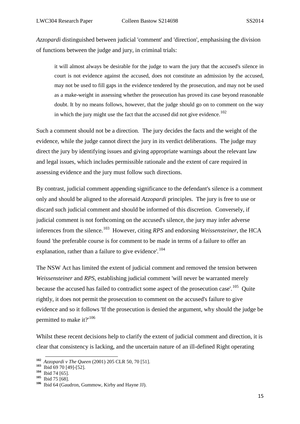*Azzopardi* distinguished between judicial 'comment' and 'direction', emphasising the division of functions between the judge and jury, in criminal trials:

it will almost always be desirable for the judge to warn the jury that the accused's silence in court is not evidence against the accused, does not constitute an admission by the accused, may not be used to fill gaps in the evidence tendered by the prosecution, and may not be used as a make-weight in assessing whether the prosecution has proved its case beyond reasonable doubt. It by no means follows, however, that the judge should go on to comment on the way in which the jury might use the fact that the accused did not give evidence.<sup>[102](#page-17-0)</sup>

Such a comment should not be a direction. The jury decides the facts and the weight of the evidence, while the judge cannot direct the jury in its verdict deliberations. The judge may direct the jury by identifying issues and giving appropriate warnings about the relevant law and legal issues, which includes permissible rationale and the extent of care required in assessing evidence and the jury must follow such directions.

By contrast, judicial comment appending significance to the defendant's silence is a comment only and should be aligned to the aforesaid *Azzopardi* principles. The jury is free to use or discard such judicial comment and should be informed of this discretion. Conversely, if judicial comment is not forthcoming on the accused's silence, the jury may infer adverse inferences from the silence.[103](#page-17-1) However, citing *RPS* and endorsing *Weissensteiner*, the HCA found *'*the preferable course is for comment to be made in terms of a failure to offer an explanation, rather than a failure to give evidence'.<sup>[104](#page-17-2)</sup>

The NSW Act has limited the extent of judicial comment and removed the tension between *Weissensteiner* and *RPS,* establishing judicial comment 'will never be warranted merely because the accused has failed to contradict some aspect of the prosecution case'.<sup>105</sup> Quite rightly, it does not permit the prosecution to comment on the accused's failure to give evidence and so it follows 'If the prosecution is denied the argument, why should the judge be permitted to make it? $10^{106}$  $10^{106}$  $10^{106}$ 

Whilst these recent decisions help to clarify the extent of judicial comment and direction, it is clear that consistency is lacking, and the uncertain nature of an ill-defined Right operating

**<sup>102</sup>** *Azzopardi v The Queen* (2001) 205 CLR 50, 70 [51].

<span id="page-17-1"></span><span id="page-17-0"></span>**<sup>103</sup>**Ibid 69 70 [49]-[52].

**<sup>104</sup>**Ibid 74 [65].

<span id="page-17-3"></span><span id="page-17-2"></span>**<sup>105</sup>**Ibid 75 [68].

<span id="page-17-4"></span>**<sup>106</sup>**Ibid 64 (Gaudron, Gummow, Kirby and Hayne JJ).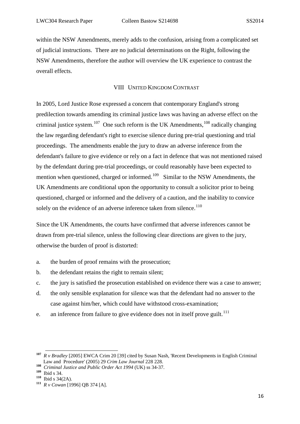within the NSW Amendments, merely adds to the confusion, arising from a complicated set of judicial instructions. There are no judicial determinations on the Right, following the NSW Amendments, therefore the author will overview the UK experience to contrast the overall effects.

## VIII UNITED KINGDOM CONTRAST

<span id="page-18-0"></span>In 2005, Lord Justice Rose expressed a concern that contemporary England's strong predilection towards amending its criminal justice laws was having an adverse effect on the criminal justice system.<sup>[107](#page-18-1)</sup> One such reform is the UK Amendments,<sup>[108](#page-18-2)</sup> radically changing the law regarding defendant's right to exercise silence during pre-trial questioning and trial proceedings. The amendments enable the jury to draw an adverse inference from the defendant's failure to give evidence or rely on a fact in defence that was not mentioned raised by the defendant during pre-trial proceedings, or could reasonably have been expected to mention when questioned, charged or informed.<sup>[109](#page-18-3)</sup> Similar to the NSW Amendments, the UK Amendments are conditional upon the opportunity to consult a solicitor prior to being questioned, charged or informed and the delivery of a caution, and the inability to convice solely on the evidence of an adverse inference taken from silence.<sup>[110](#page-18-4)</sup>

Since the UK Amendments, the courts have confirmed that adverse inferences cannot be drawn from pre-trial silence, unless the following clear directions are given to the jury, otherwise the burden of proof is distorted:

- a. the burden of proof remains with the prosecution;
- b. the defendant retains the right to remain silent;
- c. the jury is satisfied the prosecution established on evidence there was a case to answer;
- d. the only sensible explanation for silence was that the defendant had no answer to the case against him/her, which could have withstood cross-examination;
- e. an inference from failure to give evidence does not in itself prove guilt.<sup>[111](#page-18-5)</sup>

<span id="page-18-1"></span>**<sup>107</sup>** *R v Bradley* [2005] EWCA Crim 20 [39] cited by Susan Nash, 'Recent Developments in English Criminal Law and Procedure' (2005) 29 *Crim Law Journal* 228 228.

<span id="page-18-2"></span>**<sup>108</sup>** *Criminal Justice and Public Order Act 1994* (UK) ss 34-37.

<span id="page-18-3"></span><sup>&</sup>lt;sup>109</sup> Ibid s 34.<br><sup>110</sup> Ibid s 34(2A).

<span id="page-18-5"></span><span id="page-18-4"></span><sup>111</sup> *R v Cowan* [1996] QB 374 [A].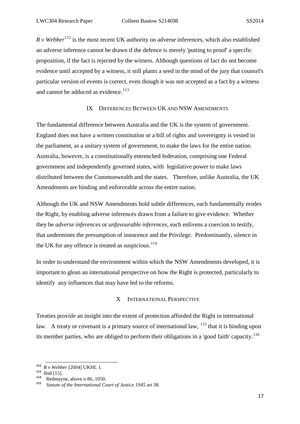*R v Webber*<sup>[112](#page-19-2)</sup> is the most recent UK authority on adverse inferences, which also established an adverse inference cannot be drawn if the defence is merely 'putting to proof' a specific proposition, if the fact is rejected by the witness. Although questions of fact do not become evidence until accepted by a witness, it still plants a seed in the mind of the jury that counsel's particular version of events is correct, even though it was not accepted as a fact by a witness and cannot be adduced as evidence.<sup>[113](#page-19-3)</sup>

## IX DIFFERENCES BETWEEN UK AND NSW AMENDMENTS

<span id="page-19-0"></span>The fundamental difference between Australia and the UK is the system of government. England does not have a written constitution or a bill of rights and sovereignty is vested in the parliament, as a unitary system of government, to make the laws for the entire nation. Australia, however, is a constitutionally entrenched federation, comprising one Federal government and independently governed states, with legislative power to make laws distributed between the Commonwealth and the states. Therefore, unlike Australia, the UK Amendments are binding and enforceable across the entire nation.

Although the UK and NSW Amendments hold subtle differences, each fundamentally erodes the Right, by enabling adverse inferences drawn from a failure to give evidence. Whether they be *adverse inferences* or *unfavourable inferences,* each enlivens a coercion to testify, that undermines the presumption of innocence and the Privilege. Predominantly, silence in the UK for any offence is treated as suspicious. $114$ 

In order to understand the environment within which the NSW Amendments developed, it is important to glean an international perspective on how the Right is protected, particularly to identify any influences that may have led to the reforms.

## X INTERNATIONAL PERSPECTIVE

<span id="page-19-6"></span><span id="page-19-1"></span>Treaties provide an insight into the extent of protection afforded the Right in international law. A treaty or covenant is a primary source of international law, <sup>[115](#page-19-5)</sup> that it is binding upon its member parties, who are obliged to perform their obligations in a 'good faith' capacity.<sup>[116](#page-19-6)</sup>

1

**<sup>112</sup>** *R v Webber* [2004] UKHL 1.

<span id="page-19-4"></span><span id="page-19-3"></span><span id="page-19-2"></span>**<sup>113</sup>**Ibid [15]. **<sup>114</sup>** Redmayne, above n 86, 1050.

<span id="page-19-5"></span>**<sup>115</sup>** *Statute of the International Court of Justice 1945* art 38.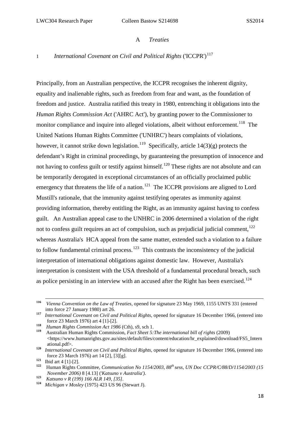#### A *Treaties*

# <span id="page-20-1"></span><span id="page-20-0"></span>1 *International Covenant on Civil and Political Rights* ('ICCPR')<sup>[117](#page-20-2)</sup>

Principally, from an Australian perspective, the ICCPR recognises the inherent dignity, equality and inalienable rights, such as freedom from fear and want, as the foundation of freedom and justice. Australia ratified this treaty in 1980, entrenching it obligations into the *Human Rights Commission Act* ('AHRC Act'), by granting power to the Commissioner to monitor compliance and inquire into alleged violations, albeit without enforcement.<sup>[118](#page-20-3)</sup> The United Nations Human Rights Committee ('UNHRC') hears complaints of violations, however, it cannot strike down legislation.<sup>[119](#page-20-4)</sup> Specifically, article 14(3)(g) protects the defendant's Right in criminal proceedings, by guaranteeing the presumption of innocence and not having to confess guilt or testify against himself.<sup>[120](#page-20-5)</sup> These rights are not absolute and can be temporarily derogated in exceptional circumstances of an officially proclaimed public emergency that threatens the life of a nation.<sup>121</sup> The ICCPR provisions are aligned to Lord Mustill's rationale, that the immunity against testifying operates as immunity against providing information, thereby entitling the Right, as an immunity against having to confess guilt. An Australian appeal case to the UNHRC in 2006 determined a violation of the right not to confess guilt requires an act of compulsion, such as prejudicial judicial comment,  $^{122}$  $^{122}$  $^{122}$ whereas Australia's HCA appeal from the same matter, extended such a violation to a failure to follow fundamental criminal process.<sup>[123](#page-20-8)</sup> This contrasts the inconsistency of the judicial interpretation of international obligations against domestic law. However, Australia's interpretation is consistent with the USA threshold of a fundamental procedural breach, such as police persisting in an interview with an accused after the Right has been exercised.<sup>[124](#page-20-9)</sup>

**<sup>116</sup>** *Vienna Convention on the Law of Treaties,* opened for signature 23 May 1969, 1155 UNTS 331 (entered into force 27 January 1980) art 26. **<sup>117</sup>** *International Covenant on Civil and Political Rights,* opened for signature 16 December 1966, (entered into

<span id="page-20-2"></span>force 23 March 1976) art 4 [1]-[2].

<span id="page-20-3"></span>**<sup>118</sup>** *Human Rights Commission Act 1986* (Cth), s9, sch 1.

<span id="page-20-4"></span>**<sup>119</sup>** Australian Human Rights Commission, *Fact Sheet 5:The international bill of rights* (2009) <https://www.humanrights.gov.au/sites/default/files/content/education/hr\_explained/download/FS5\_Intern ational.pdf>.

<span id="page-20-5"></span>**<sup>120</sup>** *International Covenant on Civil and Political Rights,* opened for signature 16 December 1966, (entered into force 23 March 1976) art 14 [2], [3][g]. **<sup>121</sup>**Ibid art 4 [1]-[2]. **<sup>122</sup>** Human Rights Committee, *Communication No 1154/2003, 88th sess, UN Doc CCPR/C/88/D/1154/2003 (15* 

<span id="page-20-6"></span>

<span id="page-20-7"></span>*November 2006)* 8 [4.13] ('*Katsuno v Australia').*

<span id="page-20-9"></span><span id="page-20-8"></span>**<sup>123</sup>** *Katsuno v R (199) 166 ALR 149, [35].* **<sup>124</sup>** *Michigan v Mosley* (1975) 423 US 96 (Stewart J).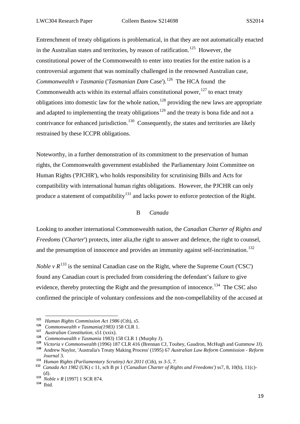Entrenchment of treaty obligations is problematical, in that they are not automatically enacted in the Australian states and territories, by reason of ratification.<sup>[125](#page-21-1)</sup> However, the constitutional power of the Commonwealth to enter into treaties for the entire nation is a controversial argument that was nominally challenged in the renowned Australian case, *Commonwealth v Tasmania* ('*Tasmanian Dam* Case'). [126](#page-21-2)The HCA found the Commonwealth acts within its external affairs constitutional power,  $127$  to enact treaty obligations into domestic law for the whole nation,  $128$  providing the new laws are appropriate and adapted to implementing the treaty obligations<sup>[129](#page-21-5)</sup> and the treaty is bona fide and not a contrivance for enhanced jurisdiction.<sup>130</sup> Consequently, the states and territories are likely restrained by these ICCPR obligations.

Noteworthy, in a further demonstration of its commitment to the preservation of human rights, the Commonwealth government established the Parliamentary Joint Committee on Human Rights ('PJCHR'), who holds responsibility for scrutinising Bills and Acts for compatibility with international human rights obligations. However, the PJCHR can only produce a statement of compatibility<sup>[131](#page-21-7)</sup> and lacks power to enforce protection of the Right.

## B *Canada*

<span id="page-21-0"></span>Looking to another international Commonwealth nation, the *Canadian Charter of Rights and Freedoms* ('*Charter*') protects, inter alia,the right to answer and defence, the right to counsel, and the presumption of innocence and provides an immunity against self-incrimination.<sup>[132](#page-21-8)</sup>

*Noble*  $v R^{133}$  $v R^{133}$  $v R^{133}$  is the seminal Canadian case on the Right, where the Supreme Court ('CSC') found any Canadian court is precluded from considering the defendant's failure to give evidence, thereby protecting the Right and the presumption of innocence.<sup>[134](#page-21-10)</sup> The CSC also confirmed the principle of voluntary confessions and the non-compellability of the accused at

**<sup>125</sup>** *Human Rights Commission Act 1986* (Cth), s5.

<span id="page-21-3"></span><span id="page-21-2"></span><span id="page-21-1"></span>**<sup>126</sup>** *Commonwealth v Tasmania(1983)* 158 CLR 1. **<sup>127</sup>** *Australian Constitution,* s51 (xxix).

**<sup>128</sup>** *Commonwealth v Tasmania* 1983) 158 CLR 1 (Murphy J).

<span id="page-21-6"></span><span id="page-21-5"></span><span id="page-21-4"></span>**<sup>129</sup>** *Victoria v Commonwealth* (1996) 187 CLR 416 (Brennan CJ, Toohey, Gaudron, McHugh and Gummow JJ).

**<sup>130</sup>** Andrew Naylor, 'Australia's Treaty Making Process' (1995) 67 *Australian Law Reform Commission - Reform Journal* 3.

**<sup>131</sup>** *Human Rights (Parliamentary Scrutiny) Act 2011* (Cth)*, ss 3-5, 7.* 

<span id="page-21-8"></span><span id="page-21-7"></span>**<sup>132</sup>** *Canada Act 1982* (UK) c 11, sch B pt 1 ('*Canadian Charter of Rights and Freedoms')* ss7, 8, 10(b), 11(c)- (d).

<span id="page-21-9"></span>**<sup>133</sup>** *Noble v R* [1997] 1 SCR 874.

<span id="page-21-10"></span>**<sup>134</sup>**Ibid.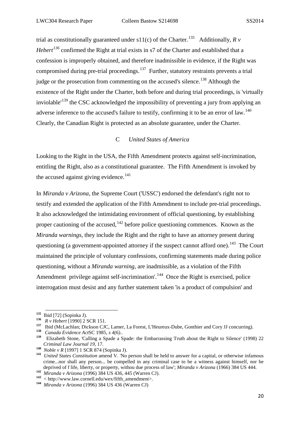trial as constitutionally guaranteed under s11(c) of the Charter.<sup>[135](#page-22-1)</sup> Additionally, *R v Hebert*<sup>[136](#page-22-2)</sup> confirmed the Right at trial exists in s7 of the Charter and established that a confession is improperly obtained, and therefore inadmissible in evidence, if the Right was compromised during pre-trial proceedings.<sup>[137](#page-22-3)</sup> Further, statutory restraints prevents a trial judge or the prosecution from commenting on the accused's silence.<sup>[138](#page-22-4)</sup> Although the existence of the Right under the Charter, both before and during trial proceedings, is 'virtually inviolable<sup> $139$ </sup> the CSC acknowledged the impossibility of preventing a jury from applying an adverse inference to the accused's failure to testify, confirming it to be an error of law.<sup>[140](#page-22-6)</sup> Clearly, the Canadian Right is protected as an absolute guarantee, under the Charter.

## C *United States of America*

<span id="page-22-0"></span>Looking to the Right in the USA, the Fifth Amendment protects against self-incrimination, entitling the Right, also as a constitutional guarantee. The Fifth Amendment is invoked by the accused against giving evidence.<sup>[141](#page-22-7)</sup>

In *Miranda v Arizona,* the Supreme Court ('USSC') endorsed the defendant's right not to testify and extended the application of the Fifth Amendment to include pre-trial proceedings. It also acknowledged the intimidating environment of official questioning, by establishing proper cautioning of the accused,  $142$  before police questioning commences. Known as the *Miranda warnings*, they include the Right and the right to have an attorney present during questioning (a government-appointed attorney if the suspect cannot afford one).<sup>[143](#page-22-9)</sup> The Court maintained the principle of voluntary confessions, confirming statements made during police questioning, without a *Miranda warning,* are inadmissible, as a violation of the Fifth Amendment privilege against self-incrimination'.<sup>144</sup> Once the Right is exercised, police interrogation must desist and any further statement taken 'is a product of compulsion' and

1

<span id="page-22-1"></span>**<sup>135</sup>**Ibid [72] (Sopinka J).

<span id="page-22-2"></span>**<sup>136</sup>** *R v Hebert* [1990] 2 SCR 151.

<span id="page-22-3"></span><sup>&</sup>lt;sup>137</sup> Ibid (McLachlan; Dickson CJC, Lamer, La Forest, L'Heureux-Dube, Gonthier and Cory JJ concurring).<br><sup>138</sup> *Canada Evidence ActSC* 1985, *s* 4(6).

<span id="page-22-5"></span><span id="page-22-4"></span><sup>&</sup>lt;sup>139</sup> Elizabeth Stone, 'Calling a Spade a Spade: the Embarrassing Truth about the Right to Silence' (1998) 22 Criminal Law Journal 19, 17.<br>
<sup>140</sup> Noble v R [1997] 1 SCR 874 (Sopinka J).<br>
<sup>141</sup> United States Constitution amend V. 'No person shall be held to answer for a capital, or otherwise infamous

<span id="page-22-7"></span><span id="page-22-6"></span>crime...nor shall any person... be compelled in any criminal case to be a witness against himself, nor be deprived of f life, liberty, or property, withou due process of law'; *Miranda v Arizona* (1966) 384 US 444. **<sup>142</sup>** *Miranda v Arizona* (1996) 384 US 436, 445 (Warren CJ).

<span id="page-22-9"></span><span id="page-22-8"></span>**<sup>143</sup>** < http://www.law.cornell.edu/wex/fifth\_amendment>. **<sup>144</sup>** *Miranda v Arizona* (1996) 384 US 436 (Warren CJ)

<span id="page-22-10"></span>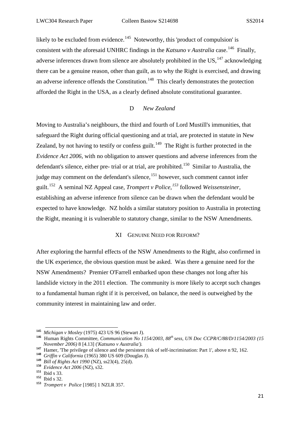likely to be excluded from evidence.<sup>[145](#page-23-2)</sup> Noteworthy, this 'product of compulsion' is consistent with the aforesaid UNHRC findings in the *Katsuno v Australia* case.<sup>146</sup> Finally, adverse inferences drawn from silence are absolutely prohibited in the US.<sup>[147](#page-23-4)</sup> acknowledging there can be a genuine reason, other than guilt, as to why the Right is exercised, and drawing an adverse inference offends the Constitution.<sup>[148](#page-23-5)</sup> This clearly demonstrates the protection afforded the Right in the USA, as a clearly defined absolute constitutional guarantee.

## D *New Zealand*

<span id="page-23-0"></span>Moving to Australia's neighbours, the third and fourth of Lord Mustill's immunities, that safeguard the Right during official questioning and at trial, are protected in statute in New Zealand, by not having to testify or confess guilt.<sup>149</sup> The Right is further protected in the *Evidence Act 2006*, with no obligation to answer questions and adverse inferences from the defendant's silence, either pre- trial or at trial, are prohibited.<sup>[150](#page-23-7)</sup> Similar to Australia, the judge may comment on the defendant's silence,<sup>[151](#page-23-8)</sup> however, such comment cannot infer guilt.[152](#page-23-9) A seminal NZ Appeal case, *Trompert v Police, [153](#page-23-10)* followed *Weissensteiner,*  establishing an adverse inference from silence can be drawn when the defendant would be expected to have knowledge. NZ holds a similar statutory position to Australia in protecting the Right, meaning it is vulnerable to statutory change, similar to the NSW Amendments.

## XI GENUINE NEED FOR REFORM?

<span id="page-23-1"></span>After exploring the harmful effects of the NSW Amendments to the Right, also confirmed in the UK experience, the obvious question must be asked. Was there a genuine need for the NSW Amendments? Premier O'Farrell embarked upon these changes not long after his landslide victory in the 2011 election. The community is more likely to accept such changes to a fundamental human right if it is perceived, on balance, the need is outweighed by the community interest in maintaining law and order.

1

**<sup>145</sup>** *Michigan v Mosley* (1975) 423 US 96 (Stewart J).

<span id="page-23-3"></span><span id="page-23-2"></span>**<sup>146</sup>** Human Rights Committee, *Communication No 1154/2003, 88th sess, UN Doc CCPR/C/88/D/1154/2003 (15 November 2006)* 8 [4.13] (*'Katsuno v Australia'*).<br><sup>147</sup> Hamer, 'The privilege of silence and the persistent risk of self-incrimination: Part 1', above n 92, 162.<br><sup>148</sup> *Griffin v California* (1965) 380 US 609 (Douglas J

<span id="page-23-4"></span>

<span id="page-23-6"></span><span id="page-23-5"></span>**<sup>&</sup>lt;sup>149</sup>** Bill of Rights Act 1990 (NZ), ss23(4), 25(d).

<span id="page-23-7"></span>**<sup>150</sup>** *Evidence Act 2006* (NZ), s32.

<span id="page-23-8"></span>**<sup>151</sup>**Ibid s 33.

<span id="page-23-9"></span>**<sup>152</sup>**Ibid s 32.

<span id="page-23-10"></span>**<sup>153</sup>** *Trompert v Police* [1985] 1 NZLR 357.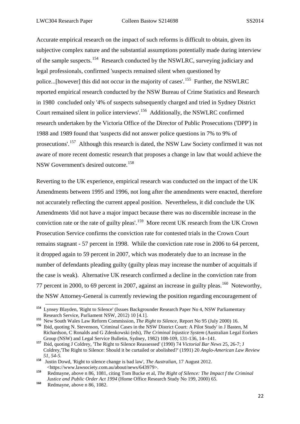Accurate empirical research on the impact of such reforms is difficult to obtain, given its subjective complex nature and the substantial assumptions potentially made during interview of the sample suspects.[154](#page-24-0) Research conducted by the NSWLRC, surveying judiciary and legal professionals, confirmed 'suspects remained silent when questioned by police...[however] this did not occur in the majority of cases'.<sup>[155](#page-24-1)</sup> Further, the NSWLRC reported empirical research conducted by the NSW Bureau of Crime Statistics and Research in 1980 concluded only '4% of suspects subsequently charged and tried in Sydney District Court remained silent in police interviews'.[156](#page-24-2) Additionally, the NSWLRC confirmed research undertaken by the Victoria Office of the Director of Public Prosecutions ('DPP') in 1988 and 1989 found that 'suspects did not answer police questions in 7% to 9% of prosecutions'.[157](#page-24-3) Although this research is dated, the NSW Law Society confirmed it was not aware of more recent domestic research that proposes a change in law that would achieve the NSW Government's desired outcome.<sup>[158](#page-24-4)</sup>

Reverting to the UK experience, empirical research was conducted on the impact of the UK Amendments between 1995 and 1996, not long after the amendments were enacted, therefore not accurately reflecting the current appeal position. Nevertheless, it did conclude the UK Amendments 'did not have a major impact because there was no discernible increase in the conviction rate or the rate of guilty pleas'.[159](#page-24-5) More recent UK research from the UK Crown Prosecution Service confirms the conviction rate for contested trials in the Crown Court remains stagnant - 57 percent in 1998. While the conviction rate rose in 2006 to 64 percent, it dropped again to 59 percent in 2007, which was moderately due to an increase in the number of defendants pleading guilty (guilty pleas may increase the number of acquittals if the case is weak). Alternative UK research confirmed a decline in the conviction rate from 77 percent in 2000, to 69 percent in 2007, against an increase in guilty pleas.<sup>[160](#page-24-6)</sup> Noteworthy, the NSW Attorney-General is currently reviewing the position regarding encouragement of

<span id="page-24-0"></span>**<sup>154</sup>** Lynsey Blayden, 'Right to Silence' (Issues Backgrounder Research Paper No 4, NSW Parliamentary Research Service, Parliament NSW, 2012) 10 [4.1].

<span id="page-24-1"></span>**<sup>155</sup>** New South Wales Law Reform Commission, *The Right to Silence,* Report No 95 (July 2000) 16.

<span id="page-24-2"></span>**<sup>156</sup>** Ibid, quoting N. Stevenson, 'Criminal Cases in the NSW District Court: A Pilot Study' in J Basten, M Richardson, C Ronalds and G Zdenkowski (eds), *The Criminal Injustice System* (Australian Legal Eorkers Group (NSW) and Legal Service Bulletin, Sydney, 1982) 108-109, 131-136, 14--141.

<span id="page-24-3"></span>**<sup>157</sup>** Ibid, quoting J Coldrey, 'The Right to Silence Reassessed' (1990) 74 *Victorial Bar News* 25, 26-7; J Coldrey,'The Right to Silence: Should it be curtailed or abolished?' (1991) 20 *Anglo-American Law Review 51, 54-5.*

<span id="page-24-4"></span>**<sup>158</sup>** Justin Dowd, 'Right to silence change is bad law', *The Australian*, 17 August 2012. <https://www.lawsociety.com.au/about/news/643979>.

<span id="page-24-5"></span>**<sup>159</sup>** Redmayne, above n 86, 1081, citing Tom Bucke et al, *The Right of Silence: The Impact f the Criminal Justice and Public Order Act 1994* (Home Office Research Study No 199, 2000) 65.

<span id="page-24-6"></span>**<sup>160</sup>** Redmayne, above n 86, 1082.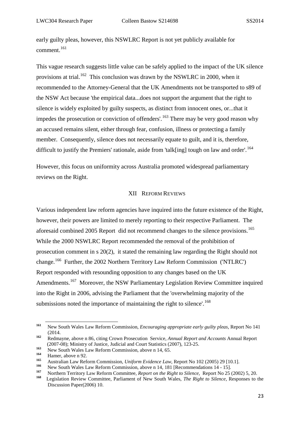early guilty pleas, however, this NSWLRC Report is not yet publicly available for comment.<sup>[161](#page-25-1)</sup>

This vague research suggests little value can be safely applied to the impact of the UK silence provisions at trial.<sup>162</sup> This conclusion was drawn by the NSWLRC in 2000, when it recommended to the Attorney-General that the UK Amendments not be transported to s89 of the NSW Act because 'the empirical data...does not support the argument that the right to silence is widely exploited by guilty suspects, as distinct from innocent ones, or...that it impedes the prosecution or conviction of offenders'.<sup>[163](#page-25-3)</sup> There may be very good reason why an accused remains silent, either through fear, confusion, illness or protecting a family member. Consequently, silence does not necessarily equate to guilt, and it is, therefore, difficult to justify the Premiers' rationale, aside from 'talk[ing] tough on law and order'.<sup>[164](#page-25-4)</sup>

However, this focus on uniformity across Australia promoted widespread parliamentary reviews on the Right.

#### XII REFORM REVIEWS

<span id="page-25-0"></span>Various independent law reform agencies have inquired into the future existence of the Right, however, their powers are limited to merely reporting to their respective Parliament. The aforesaid combined 2005 Report did not recommend changes to the silence provisions.<sup>[165](#page-25-5)</sup> While the 2000 NSWLRC Report recommended the removal of the prohibition of prosecution comment in s 20(2), it stated the remaining law regarding the Right should not change.[166](#page-25-6) Further, the 2002 Northern Territory Law Reform Commission ('NTLRC') Report responded with resounding opposition to any changes based on the UK Amendments.<sup>167</sup> Moreover, the NSW Parliamentary Legislation Review Committee inquired into the Right in 2006, advising the Parliament that the 'overwhelming majority of the submissions noted the importance of maintaining the right to silence'.<sup>[168](#page-25-8)</sup>

<span id="page-25-1"></span>**<sup>161</sup>** New South Wales Law Reform Commission, *Encouraging appropriate early guilty pleas,* Report No 141 (2014.

<span id="page-25-2"></span>**<sup>162</sup>** Redmayne, above n 86, citing Crown Prosecution Service, *Annual Report and Accounts* Annual Report (2007-08); Ministry of Justice, Judicial and Court Statistics (2007), 123-25.

<span id="page-25-3"></span>**<sup>163</sup>** New South Wales Law Reform Commission, above n 14, 65.

<span id="page-25-4"></span> $\frac{164}{165}$  Hamer, above n 92.

<span id="page-25-5"></span>**<sup>165</sup>** Australian Law Reform Commission, *Uniform Evidence Law*, Report No 102 (2005) 29 [10.1].

<span id="page-25-6"></span><sup>&</sup>lt;sup>166</sup> New South Wales Law Reform Commission, above n 14, 181 [Recommendations 14 - 15].

<span id="page-25-8"></span><span id="page-25-7"></span>**<sup>167</sup>** Northern Territory Law Reform Committee, *Report on the Right to Silence,* Report No 25 (2002) 5, 20.

**<sup>168</sup>** Legislation Review Committee, Parliament of New South Wales, *The Right to Silence,* Responses to the Discussion Paper(2006) 10.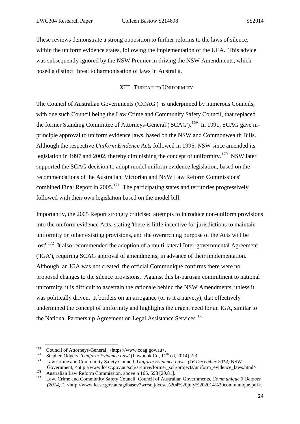These reviews demonstrate a strong opposition to further reforms to the laws of silence, within the uniform evidence states, following the implementation of the UEA. This advice was subsequently ignored by the NSW Premier in driving the NSW Amendments, which posed a distinct threat to harmonisation of laws in Australia.

#### XIII THREAT TO UNIFORMITY

<span id="page-26-0"></span>The Council of Australian Governments ('COAG') is underpinned by numerous Councils, with one such Council being the Law Crime and Community Safety Council, that replaced the former Standing Committee of Attorneys-General ('SCAG').<sup>169</sup> In 1991, SCAG gave inprinciple approval to uniform evidence laws, based on the NSW and Commonwealth Bills. Although the respective *Uniform Evidence Acts* followed in 1995, NSW since amended its legislation in 1997 and 2002, thereby diminishing the concept of uniformity.<sup>[170](#page-26-3)</sup> NSW later supported the SCAG decision to adopt model uniform evidence legislation, based on the recommendations of the Australian, Victorian and NSW Law Reform Commissions' combined Final Report in 2005.<sup>171</sup> The participating states and territories progressively followed with their own legislation based on the model bill.

Importantly, the 2005 Report strongly criticised attempts to introduce non-uniform provisions into the uniform evidence Acts, stating 'there is little incentive for jurisdictions to maintain uniformity on other existing provisions, and the overarching purpose of the Acts will be lost'.<sup>[172](#page-26-5)</sup> It also recommended the adoption of a multi-lateral Inter-governmental Agreement ('IGA'), requiring SCAG approval of amendments, in advance of their implementation. Although, an IGA was not created, the official Communiqué confirms there were no proposed changes to the silence provisions. Against this bi-partisan commitment to national uniformity, it is difficult to ascertain the rationale behind the NSW Amendments, unless it was politically driven. It borders on an arrogance (or is it a naivety), that effectively undermined the concept of uniformity and highlights the urgent need for an IGA, similar to the National Partnership Agreement on Legal Assistance Services.<sup>[173](#page-26-6)</sup>

1

<span id="page-26-2"></span><span id="page-26-1"></span><sup>169</sup> Council of Attorneys-General, <https://www.coag.gov.au>.

<span id="page-26-3"></span><sup>&</sup>lt;sup>170</sup> Stephen Odgers, *'Uniform Evidence Law'* (Lawbook Co, 11<sup>th</sup> ed, 2014) 2-3.<br><sup>171</sup> Law Crime and Community Safety Council, *Uniform Evidence Laws, (16 December 2014)* NSW

<span id="page-26-5"></span><span id="page-26-4"></span>Government, <http://www.lccsc.gov.au/sclj/archive/former\_sclj/projects/uniform\_evidence\_laws.html>.<br>
172 Australian Law Reform Commission, above n 165, 698 [20.81].<br>
173 Law Ginne and General Safety Council of Australian G

<span id="page-26-6"></span>**<sup>173</sup>** Law, Crime and Community Safety Council, Council of Australian Governments, *Communique 3 October (2014) 1.* <http://www.lccsc.gov.au/agdbasev7wr/sclj/lccsc%204%20july%202014%20communique.pdf>.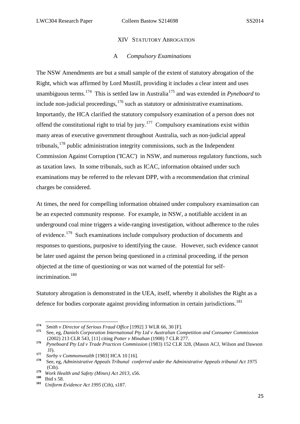#### XIV STATUTORY ABROGATION

## A *Compulsory Examinations*

<span id="page-27-0"></span>The NSW Amendments are but a small sample of the extent of statutory abrogation of the Right, which was affirmed by Lord Mustill, providing it includes a clear intent and uses unambiguous terms.[174](#page-27-1) This is settled law in Australia[175](#page-27-2) and was extended in *Pyneboard* to include non-judicial proceedings, $176$  such as statutory or administrative examinations. Importantly, the HCA clarified the statutory compulsory examination of a person does not offend the constitutional right to trial by jury.<sup>177</sup> Compulsory examinations exist within many areas of executive government throughout Australia, such as non-judicial appeal tribunals,  $178$  public administration integrity commissions, such as the Independent Commission Against Corruption ('ICAC') in NSW, and numerous regulatory functions, such as taxation laws. In some tribunals, such as ICAC*,* information obtained under such examinations may be referred to the relevant DPP, with a recommendation that criminal charges be considered.

At times, the need for compelling information obtained under compulsory examinsation can be an expected community response. For example, in NSW, a notifiable accident in an underground coal mine triggers a wide-ranging investigation, without adherence to the rules of evidence.[179](#page-27-6) Such examinations include compulsory production of documents and responses to questions, purposive to identifying the cause. However, such evidence cannot be later used against the person being questioned in a criminal proceeding, if the person objected at the time of questioning or was not warned of the potential for self-incrimination.<sup>[180](#page-27-7)</sup>

Statutory abrogation is demonstrated in the UEA, itself, whereby it abolishes the Right as a defence for bodies corporate against providing information in certain jurisdictions.<sup>[181](#page-27-8)</sup>

<span id="page-27-1"></span>**<sup>174</sup>** *Smith v Director of Serious Fraud Office* [1992] 3 WLR 66, 30 [F].

<span id="page-27-2"></span>**<sup>175</sup>** See, eg, *Daniels Corporation International Pty Ltd v Australian Competition and Consumer Commission* (2002) 213 CLR 543, [11] citing *Potter v Minahan* (1908) 7 CLR 277.

<span id="page-27-3"></span>**<sup>176</sup>** *Pyneboard Pty Ltd v Trade Practices Commission* (1983) 152 CLR 328, (Mason ACJ, Wilson and Dawson

<span id="page-27-4"></span>JJ). **<sup>177</sup>** *Sorby v Commonwealth* [1983] HCA 10 [16].

<span id="page-27-5"></span>**<sup>178</sup>** See, eg, *Administrative Appeals Tribunal conferred under the Administrative Appeals tribunal Act 1975*  (Cth).

<span id="page-27-6"></span>**<sup>179</sup>** *Work Health and Safety (Mines) Act 2013*, s56.

<span id="page-27-8"></span><span id="page-27-7"></span>**<sup>180</sup>**Ibid s 58.

**<sup>181</sup>** *Uniform Evidence Act 1995* (Cth), s187.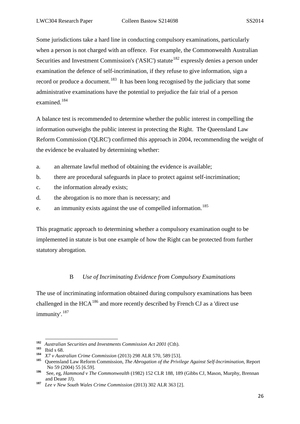Some jurisdictions take a hard line in conducting compulsory examinations, particularly when a person is not charged with an offence. For example, the Commonwealth Australian Securities and Investment Commission's ('ASIC') statute<sup>[182](#page-28-1)</sup> expressly denies a person under examination the defence of self-incrimination, if they refuse to give information, sign a record or produce a document.<sup>183</sup> It has been long recognised by the judiciary that some administrative examinations have the potential to prejudice the fair trial of a person examined.[184](#page-28-3)

A balance test is recommended to determine whether the public interest in compelling the information outweighs the public interest in protecting the Right. The Queensland Law Reform Commission ('QLRC') confirmed this approach in 2004, recommending the weight of the evidence be evaluated by determining whether:

- a. an alternate lawful method of obtaining the evidence is available;
- b. there are procedural safeguards in place to protect against self-incrimination;
- c. the information already exists;
- d. the abrogation is no more than is necessary; and
- e. an immunity exists against the use of compelled information.<sup>[185](#page-28-4)</sup>

This pragmatic approach to determining whether a compulsory examination ought to be implemented in statute is but one example of how the Right can be protected from further statutory abrogation.

#### B *Use of Incriminating Evidence from Compulsory Examinations*

<span id="page-28-0"></span>The use of incriminating information obtained during compulsory examinations has been challenged in the HCA[186](#page-28-5) and more recently described by French CJ as a 'direct use immunity'.[187](#page-28-6)

<span id="page-28-1"></span>**<sup>182</sup>** *Australian Securities and Investments Commission Act 2001* (Cth). **<sup>183</sup>**Ibid <sup>s</sup> 68.

<span id="page-28-4"></span><span id="page-28-3"></span><span id="page-28-2"></span>**<sup>184</sup>** *X7 v Australian Crime Commission* (2013) 298 ALR 570, 589 [53].

**<sup>185</sup>** Queensland Law Reform Commission, *The Abrogation of the Privilege Against Self-Incrimination,* Report No 59 (2004) 55 [6.59].

<span id="page-28-5"></span>**<sup>186</sup>** See, eg, *Hammond v The Commonwealth* (1982) 152 CLR 188, 189 (Gibbs CJ, Mason, Murphy, Brennan and Deane JJ).

<span id="page-28-6"></span>**<sup>187</sup>** *Lee v New South Wales Crime Commission* (2013) 302 ALR 363 [2].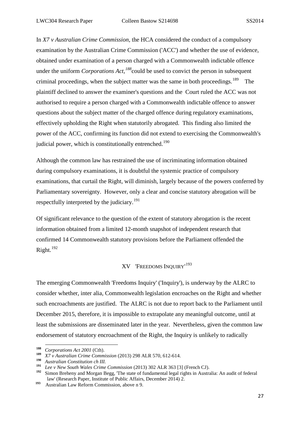In *X7 v Australian Crime Commission*, the HCA considered the conduct of a compulsory examination by the Australian Crime Commission ('ACC') and whether the use of evidence, obtained under examination of a person charged with a Commonwealth indictable offence under the uniform *Corporations Act*,<sup>*[188](#page-29-1)*</sup>could be used to convict the person in subsequent criminal proceedings, when the subject matter was the same in both proceedings.<sup>189</sup> The plaintiff declined to answer the examiner's questions and the Court ruled the ACC was not authorised to require a person charged with a Commonwealth indictable offence to answer questions about the subject matter of the charged offence during regulatory examinations, effectively upholding the Right when statutorily abrogated. This finding also limited the power of the ACC, confirming its function did not extend to exercising the Commonwealth's judicial power, which is constitutionally entrenched.<sup>[190](#page-29-3)</sup>

Although the common law has restrained the use of incriminating information obtained during compulsory examinations, it is doubtful the systemic practice of compulsory examinations, that curtail the Right, will diminish, largely because of the powers conferred by Parliamentary sovereignty. However, only a clear and concise statutory abrogation will be respectfully interpreted by the judiciary.<sup>191</sup>

Of significant relevance to the question of the extent of statutory abrogation is the recent information obtained from a limited 12-month snapshot of independent research that confirmed 14 Commonwealth statutory provisions before the Parliament offended the Right.[192](#page-29-5)

# XV 'FREEDOMS INQUIRY' [193](#page-29-6)

<span id="page-29-0"></span>The emerging Commonwealth 'Freedoms Inquiry' ('Inquiry'), is underway by the ALRC to consider whether, inter alia, Commonwealth legislation encroaches on the Right and whether such encroachments are justified. The ALRC is not due to report back to the Parliament until December 2015, therefore, it is impossible to extrapolate any meaningful outcome, until at least the submissions are disseminated later in the year. Nevertheless, given the common law endorsement of statutory encroachment of the Right, the Inquiry is unlikely to radically

1

<span id="page-29-1"></span>**<sup>188</sup>** *Corporations Act 2001* (Cth).

<span id="page-29-2"></span>**<sup>189</sup>** *X7 v Australian Crime Commission* (2013) 298 ALR 570, 612-614.

<span id="page-29-3"></span>**<sup>190</sup>** *Australian Constitution ch III.*

<span id="page-29-4"></span>**<sup>191</sup>** *Lee v New South Wales Crime Commission* (2013) 302 ALR 363 [3] (French CJ).

<span id="page-29-5"></span>**<sup>192</sup>** Simon Breheny and Morgan Begg, 'The state of fundamental legal rights in Australia: An audit of federal law' (Research Paper, Institute of Public Affairs, December 2014) 2.

<span id="page-29-6"></span>**<sup>193</sup>** Australian Law Reform Commission, above n 9.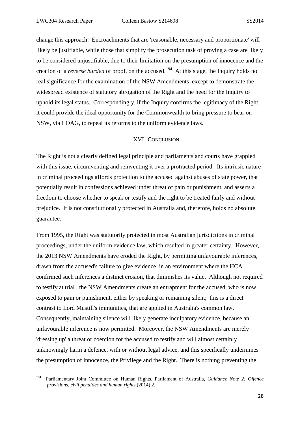**.** 

change this approach. Encroachments that are 'reasonable, necessary and proportionate' will likely be justifiable, while those that simplify the prosecution task of proving a case are likely to be considered unjustifiable, due to their limitation on the presumption of innocence and the creation of a *reverse burden* of proof, on the accused. [194](#page-30-1) At this stage, the Inquiry holds no real significance for the examination of the NSW Amendments, except to demonstrate the widespread existence of statutory abrogation of the Right and the need for the Inquiry to uphold its legal status. Correspondingly, if the Inquiry confirms the legitimacy of the Right, it could provide the ideal opportunity for the Commonwealth to bring pressure to bear on NSW, via COAG, to repeal its reforms to the uniform evidence laws.

#### XVI CONCLUSION

<span id="page-30-0"></span>The Right is not a clearly defined legal principle and parliaments and courts have grappled with this issue, circumventing and reinventing it over a protracted period. Its intrinsic nature in criminal proceedings affords protection to the accused against abuses of state power, that potentially result in confessions achieved under threat of pain or punishment, and asserts a freedom to choose whether to speak or testify and the right to be treated fairly and without prejudice. It is not constitutionally protected in Australia and, therefore, holds no absolute guarantee.

From 1995, the Right was statutorily protected in most Australian jurisdictions in criminal proceedings, under the uniform evidence law, which resulted in greater certainty. However, the 2013 NSW Amendments have eroded the Right, by permitting unfavourable inferences, drawn from the accused's failure to give evidence, in an environment where the HCA confirmed such inferences a distinct erosion, that diminishes its value. Although not required to testify at trial , the NSW Amendments create an entrapment for the accused, who is now exposed to pain or punishment, either by speaking or remaining silent; this is a direct contrast to Lord Mustill's immunities, that are applied in Australia's common law. Consequently, maintaining silence will likely generate inculpatory evidence, because an unfavourable inference is now permitted. Moreover, the NSW Amendments are merely 'dressing up' a threat or coercion for the accused to testify and will almost certainly unknowingly harm a defence, with or without legal advice, and this specifically undermines the presumption of innocence, the Privilege and the Right. There is nothing preventing the

<span id="page-30-1"></span>**<sup>194</sup>** Parliamentary Joint Committee on Human Rights, Parliament of Australia, *Guidance Note 2: Offence provisions, civil penalties and human rights* (2014) 2.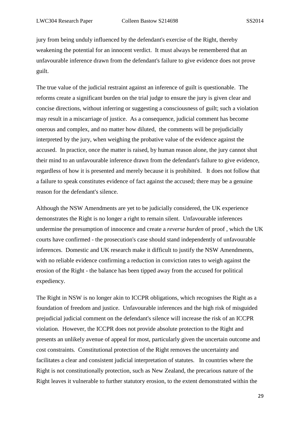jury from being unduly influenced by the defendant's exercise of the Right, thereby weakening the potential for an innocent verdict. It must always be remembered that an unfavourable inference drawn from the defendant's failure to give evidence does not prove guilt.

The true value of the judicial restraint against an inference of guilt is questionable. The reforms create a significant burden on the trial judge to ensure the jury is given clear and concise directions, without inferring or suggesting a consciousness of guilt; such a violation may result in a miscarriage of justice. As a consequence, judicial comment has become onerous and complex, and no matter how diluted, the comments will be prejudicially interpreted by the jury, when weighing the probative value of the evidence against the accused. In practice, once the matter is raised, by human reason alone, the jury cannot shut their mind to an unfavourable inference drawn from the defendant's failure to give evidence, regardless of how it is presented and merely because it is prohibited. It does not follow that a failure to speak constitutes evidence of fact against the accused; there may be a genuine reason for the defendant's silence.

Although the NSW Amendments are yet to be judicially considered, the UK experience demonstrates the Right is no longer a right to remain silent. Unfavourable inferences undermine the presumption of innocence and create a *reverse burden* of proof , which the UK courts have confirmed - the prosecution's case should stand independently of unfavourable inferences. Domestic and UK research make it difficult to justify the NSW Amendments, with no reliable evidence confirming a reduction in conviction rates to weigh against the erosion of the Right - the balance has been tipped away from the accused for political expediency.

The Right in NSW is no longer akin to ICCPR obligations, which recognises the Right as a foundation of freedom and justice. Unfavourable inferences and the high risk of misguided prejudicial judicial comment on the defendant's silence will increase the risk of an ICCPR violation. However, the ICCPR does not provide absolute protection to the Right and presents an unlikely avenue of appeal for most, particularly given the uncertain outcome and cost constraints*.* Constitutional protection of the Right removes the uncertainty and facilitates a clear and consistent judicial interpretation of statutes. In countries where the Right is not constitutionally protection, such as New Zealand, the precarious nature of the Right leaves it vulnerable to further statutory erosion, to the extent demonstrated within the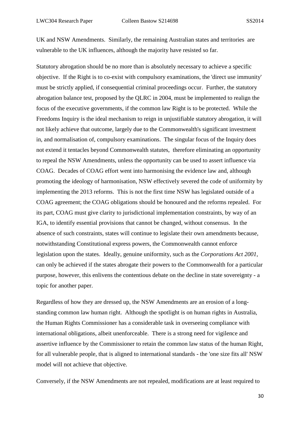UK and NSW Amendments. Similarly, the remaining Australian states and territories are vulnerable to the UK influences, although the majority have resisted so far.

Statutory abrogation should be no more than is absolutely necessary to achieve a specific objective. If the Right is to co-exist with compulsory examinations, the 'direct use immunity' must be strictly applied, if consequential criminal proceedings occur. Further, the statutory abrogation balance test, proposed by the QLRC in 2004, must be implemented to realign the focus of the executive governments, if the common law Right is to be protected. While the Freedoms Inquiry is the ideal mechanism to reign in unjustifiable statutory abrogation, it will not likely achieve that outcome, largely due to the Commonwealth's significant investment in, and normalisation of, compulsory examinations. The singular focus of the Inquiry does not extend it tentacles beyond Commonwealth statutes, therefore eliminating an opportunity to repeal the NSW Amendments, unless the opportunity can be used to assert influence via COAG. Decades of COAG effort went into harmonising the evidence law and, although promoting the ideology of harmonisation, NSW effectively severed the code of uniformity by implementing the 2013 reforms. This is not the first time NSW has legislated outside of a COAG agreement; the COAG obligations should be honoured and the reforms repealed. For its part, COAG must give clarity to jurisdictional implementation constraints, by way of an IGA, to identify essential provisions that cannot be changed, without consensus. In the absence of such constraints, states will continue to legislate their own amendments because, notwithstanding Constitutional express powers, the Commonwealth cannot enforce legislation upon the states. Ideally, genuine uniformity, such as the *Corporations Act 2001*, can only be achieved if the states abrogate their powers to the Commonwealth for a particular purpose, however, this enlivens the contentious debate on the decline in state sovereignty - a topic for another paper.

Regardless of how they are dressed up, the NSW Amendments are an erosion of a longstanding common law human right. Although the spotlight is on human rights in Australia, the Human Rights Commissioner has a considerable task in overseeing compliance with international obligations, albeit unenforceable. There is a strong need for vigilence and assertive influence by the Commissioner to retain the common law status of the human Right, for all vulnerable people, that is aligned to international standards - the 'one size fits all' NSW model will not achieve that objective.

Conversely, if the NSW Amendments are not repealed, modifications are at least required to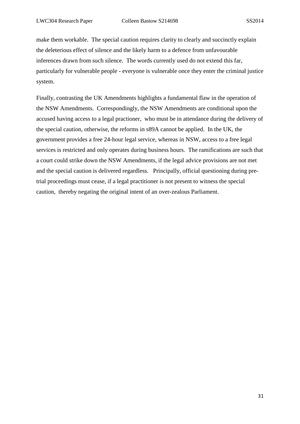make them workable. The special caution requires clarity to clearly and succinctly explain the deleterious effect of silence and the likely harm to a defence from unfavourable inferences drawn from such silence. The words currently used do not extend this far, particularly for vulnerable people - everyone is vulnerable once they enter the criminal justice system.

Finally, contrasting the UK Amendments highlights a fundamental flaw in the operation of the NSW Amendments. Correspondingly, the NSW Amendments are conditional upon the accused having access to a legal practioner, who must be in attendance during the delivery of the special caution, otherwise, the reforms in s89A cannot be applied. In the UK, the government provides a free 24-hour legal service, whereas in NSW, access to a free legal services is restricted and only operates during business hours. The ramifications are such that a court could strike down the NSW Amendments, if the legal advice provisions are not met and the special caution is delivered regardless. Principally, official questioning during pretrial proceedings must cease, if a legal practitioner is not present to witness the special caution, thereby negating the original intent of an over-zealous Parliament.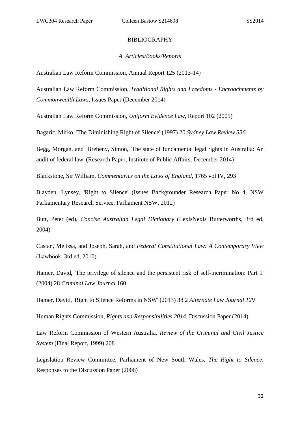#### BIBLIOGRAPHY

#### *A Articles/Books/Reports*

Australian Law Reform Commission, Annual Report 125 (2013-14)

Australian Law Reform Commission, *Traditional Rights and Freedoms - Encroachments by Commonwealth Laws,* Issues Paper (December 2014)

Australian Law Reform Commission, *Uniform Evidence Law,* Report 102 (2005)

Bagaric, Mirko, 'The Diminishing Right of Silence' (1997) 20 *Sydney Law Review 336*

Begg, Morgan, and Breheny, Simon, 'The state of fundamental legal rights in Australia: An audit of federal law' (Research Paper, Institute of Public Affairs, December 2014)

Blackstone, Sir William, *Commentaries on the Laws of England,* 1765 vol IV, 293

Blayden, Lynsey, 'Right to Silence' (Issues Backgrounder Research Paper No 4, NSW Parliamentary Research Service, Parliament NSW, 2012)

Butt, Peter (ed), *Concise Australian Legal Dictionary* (LexisNexis Butterworths, 3rd ed, 2004)

Castan, Melissa, and Joseph, Sarah, and *Federal Constitutional Law: A Contemporary View* (Lawbook, 3rd ed, 2010)

Hamer, David, 'The privilege of silence and the persistent risk of self-incrimination: Part 1' (2004) 28 *Criminal Law Journal* 160

Hamer, David, 'Right to Silence Reforms in NSW' (2013) 38.2 *Alternate Law Journal 129*

Human Rights Commission, *Rights and Responsibilities 2014,* Discussion Paper (2014)

Law Reform Commission of Western Australia, *Review of the Criminal and Civil Justice System* (Final Report, 1999) 208

Legislation Review Committee, Parliament of New South Wales, *The Right to Silence,*  Responses to the Discussion Paper (2006)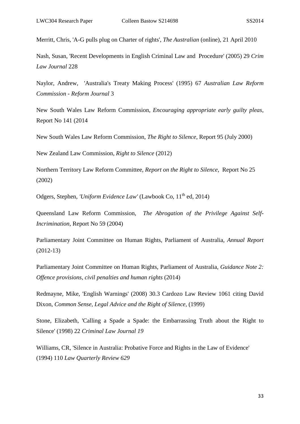Merritt, Chris, 'A-G pulls plug on Charter of rights', *The Australian* (online), 21 April 2010

Nash, Susan, 'Recent Developments in English Criminal Law and Procedure' (2005) 29 *Crim Law Journal* 228

Naylor, Andrew, 'Australia's Treaty Making Process' (1995) 67 *Australian Law Reform Commission - Reform Journal* 3

New South Wales Law Reform Commission, *Encouraging appropriate early guilty pleas,*  Report No 141 (2014

New South Wales Law Reform Commission, *The Right to Silence,* Report 95 (July 2000)

New Zealand Law Commission, *Right to Silence* (2012)

Northern Territory Law Reform Committee, *Report on the Right to Silence,* Report No 25 (2002)

Odgers, Stephen, *'Uniform Evidence Law'* (Lawbook Co, 11<sup>th</sup> ed. 2014)

Queensland Law Reform Commission, *The Abrogation of the Privilege Against Self-Incrimination,* Report No 59 (2004)

Parliamentary Joint Committee on Human Rights, Parliament of Australia, *Annual Report*  (2012-13)

Parliamentary Joint Committee on Human Rights, Parliament of Australia, *Guidance Note 2: Offence provisions, civil penalties and human rights* (2014)

Redmayne, Mike, 'English Warnings' (2008) 30.3 Cardozo Law Review 1061 citing David Dixon, *Common Sense, Legal Advice and the Right of Silence,* (1999)

Stone, Elizabeth, 'Calling a Spade a Spade: the Embarrassing Truth about the Right to Silence' (1998) 22 *Criminal Law Journal 19*

Williams, CR, 'Silence in Australia: Probative Force and Rights in the Law of Evidence' (1994) 110 *Law Quarterly Review 629*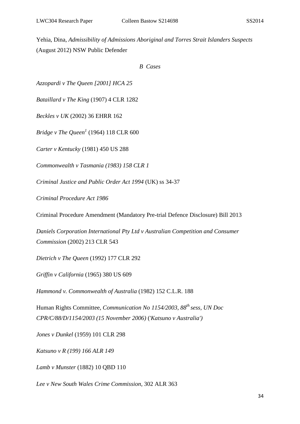Yehia, Dina, *Admissibility of Admissions Aboriginal and Torres Strait Islanders Suspects*  (August 2012) NSW Public Defender

*B Cases*

*Azzopardi v The Queen [2001] HCA 25*

*Bataillard v The King* (1907) 4 CLR 1282

*Beckles v UK* (2002) 36 EHRR 162

*Bridge v The Queen<sup>1</sup>* (1964) 118 CLR 600

*Carter v Kentucky* (1981) 450 US 288

*Commonwealth v Tasmania (1983) 158 CLR 1*

*Criminal Justice and Public Order Act 1994* (UK) ss 34-37

*Criminal Procedure Act 1986*

Criminal Procedure Amendment (Mandatory Pre-trial Defence Disclosure) Bill 2013

*Daniels Corporation International Pty Ltd v Australian Competition and Consumer Commission* (2002) 213 CLR 543

*Dietrich v The Queen* (1992) 177 CLR 292

*Griffin v California* (1965) 380 US 609

*Hammond v. Commonwealth of Australia* (1982) 152 C.L.R. 188

Human Rights Committee, *Communication No 1154/2003, 88th sess, UN Doc CPR/C/88/D/1154/2003 (15 November 2006)* ('*Katsuno v Australia')*

*Jones v Dunkel* (1959) 101 CLR 298

*Katsuno v R (199) 166 ALR 149*

*Lamb v Munster* (1882) 10 QBD 110

*Lee v New South Wales Crime Commission*, 302 ALR 363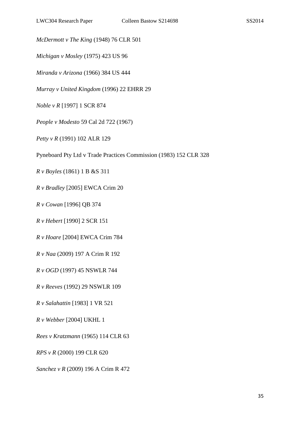*McDermott v The King* (1948) 76 CLR 501

*Michigan v Mosley* (1975) 423 US 96

*Miranda v Arizona* (1966) 384 US 444

*Murray v United Kingdom* (1996) 22 EHRR 29

- *Noble v R* [1997] 1 SCR 874
- *People v Modesto* 59 Cal 2d 722 (1967)
- *Petty v R* (1991) 102 ALR 129
- Pyneboard Pty Ltd v Trade Practices Commission (1983) 152 CLR 328
- *R v Boyles* (1861) 1 B &S 311
- *R v Bradley* [2005] EWCA Crim 20
- *R v Cowan* [1996] QB 374
- *R v Hebert* [1990] 2 SCR 151
- *R v Hoare* [2004] EWCA Crim 784
- *R v Naa* (2009) 197 A Crim R 192
- *R v OGD* (1997) 45 NSWLR 744
- *R v Reeves* (1992) 29 NSWLR 109
- *R v Salahattin* [1983] 1 VR 521
- *R v Webber* [2004] UKHL 1
- *Rees v Kratzmann* (1965) 114 CLR 63
- *RPS v R* (2000) 199 CLR 620
- *Sanchez v R* (2009) 196 A Crim R 472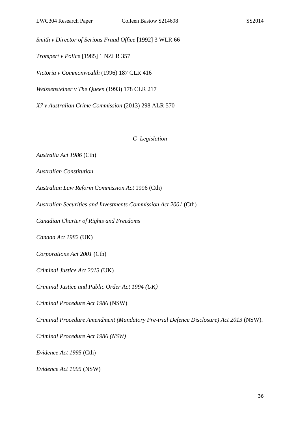*Smith v Director of Serious Fraud Office* [1992] 3 WLR 66

*Trompert v Police* [1985] 1 NZLR 357

*Victoria v Commonwealth* (1996) 187 CLR 416

*Weissensteiner v The Queen* (1993) 178 CLR 217

*X7 v Australian Crime Commission* (2013) 298 ALR 570

*C Legislation*

*Australia Act 1986* (Cth)

*Australian Constitution*

*Australian Law Reform Commission Act* 1996 (Cth)

*Australian Securities and Investments Commission Act 2001* (Cth)

*Canadian Charter of Rights and Freedoms*

*Canada Act 1982* (UK)

*Corporations Act 2001* (Cth)

*Criminal Justice Act 2013* (UK)

*Criminal Justice and Public Order Act 1994 (UK)*

*Criminal Procedure Act 1986* (NSW)

*Criminal Procedure Amendment (Mandatory Pre-trial Defence Disclosure) Act 2013* (NSW).

*Criminal Procedure Act 1986 (NSW)*

*Evidence Act 1995* (Cth)

*Evidence Act 1995* (NSW)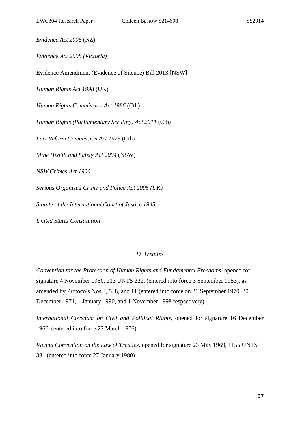*Evidence Act 2006* (NZ)

*Evidence Act 2008 (Victoria)*

Evidence Amendment (Evidence of Silence) Bill 2013 [NSW]

*Human Rights Act 1998* (UK)

*Human Rights Commission Act 1986* (Cth)

*Human Rights (Parliamentary Scrutiny) Act 2011* (Cth)

*Law Reform Commission Act 1973* (Cth)

*Mine Health and Safety Act 2004* (NSW)

*NSW Crimes Act 1900* 

*Serious Organised Crime and Police Act 2005 (UK)*

*Statute of the International Court of Justice 1945*

*United States Constitution* 

## *D Treaties*

*Convention for the Protection of Human Rights and Fundamental Freedoms,* opened for signature 4 November 1950, 213 UNTS 222, (entered into force 3 September 1953), as amended by Protocols Nos 3, 5, 8, and 11 (entered into force on 21 September 1970, 20 December 1971, 1 January 1990, and 1 November 1998 respectively)

*International Covenant on Civil and Political Rights,* opened for signature 16 December 1966, (entered into force 23 March 1976)

*Vienna Convention on the Law of Treaties,* opened for signature 23 May 1969, 1155 UNTS 331 (entered into force 27 January 1980)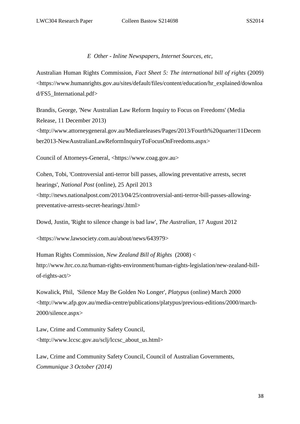*E Other - Inline Newspapers, Internet Sources, etc,*

Australian Human Rights Commission, *Fact Sheet 5: The international bill of rights* (2009) <https://www.humanrights.gov.au/sites/default/files/content/education/hr\_explained/downloa d/FS5\_International.pdf>

Brandis, George, 'New Australian Law Reform Inquiry to Focus on Freedoms' (Media Release, 11 December 2013) <http://www.attorneygeneral.gov.au/Mediareleases/Pages/2013/Fourth%20quarter/11Decem ber2013-NewAustralianLawReformInquiryToFocusOnFreedoms.aspx>

Council of Attorneys-General, <https://www.coag.gov.au>

Cohen, Tobi, 'Controversial anti-terror bill passes, allowing preventative arrests, secret hearings', *National Post* (online), 25 April 2013 <http://news.nationalpost.com/2013/04/25/controversial-anti-terror-bill-passes-allowingpreventative-arrests-secret-hearings/.html>

Dowd, Justin, 'Right to silence change is bad law', *The Australian*, 17 August 2012

<https://www.lawsociety.com.au/about/news/643979>

Human Rights Commission, *New Zealand Bill of Rights* (2008) < http://www.hrc.co.nz/human-rights-environment/human-rights-legislation/new-zealand-billof-rights-act/>

Kowalick, Phil, 'Silence May Be Golden No Longer', *Platypus* (online) March 2000 <http://www.afp.gov.au/media-centre/publications/platypus/previous-editions/2000/march-2000/silence.aspx>

Law, Crime and Community Safety Council, <http://www.lccsc.gov.au/sclj/lccsc\_about\_us.html>

Law, Crime and Community Safety Council, Council of Australian Governments, *Communique 3 October (2014)*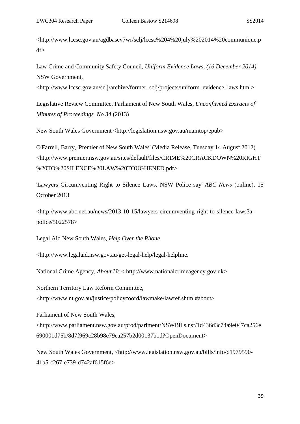<http://www.lccsc.gov.au/agdbasev7wr/sclj/lccsc%204%20july%202014%20communique.p df>

Law Crime and Community Safety Council, *Uniform Evidence Laws, (16 December 2014)*  NSW Government,

<http://www.lccsc.gov.au/sclj/archive/former\_sclj/projects/uniform\_evidence\_laws.html>

Legislative Review Committee, Parliament of New South Wales, *Unconfirmed Extracts of Minutes of Proceedings No 34* (2013)

New South Wales Government <http://legislation.nsw.gov.au/maintop/epub>

O'Farrell, Barry, 'Premier of New South Wales' (Media Release, Tuesday 14 August 2012) <http://www.premier.nsw.gov.au/sites/default/files/CRIME%20CRACKDOWN%20RIGHT %20TO%20SILENCE%20LAW%20TOUGHENED.pdf>

'Lawyers Circumventing Right to Silence Laws, NSW Police say' *ABC News* (online), 15 October 2013

<http://www.abc.net.au/news/2013-10-15/lawyers-circumventing-right-to-silence-laws3apolice/5022578>

Legal Aid New South Wales, *Help Over the Phone* 

<http://www.legalaid.nsw.gov.au/get-legal-help/legal-helpline.

National Crime Agency, *About Us* < http://www.nationalcrimeagency.gov.uk>

Northern Territory Law Reform Committee,

<http://www.nt.gov.au/justice/policycoord/lawmake/lawref.shtml#about>

Parliament of New South Wales,

<http://www.parliament.nsw.gov.au/prod/parlment/NSWBills.nsf/1d436d3c74a9e047ca256e 690001d75b/8d7f969c28b98e79ca257b2d00137b1d?OpenDocument>

New South Wales Government, <http://www.legislation.nsw.gov.au/bills/info/d1979590- 41b5-c267-e739-d742af615f6e>